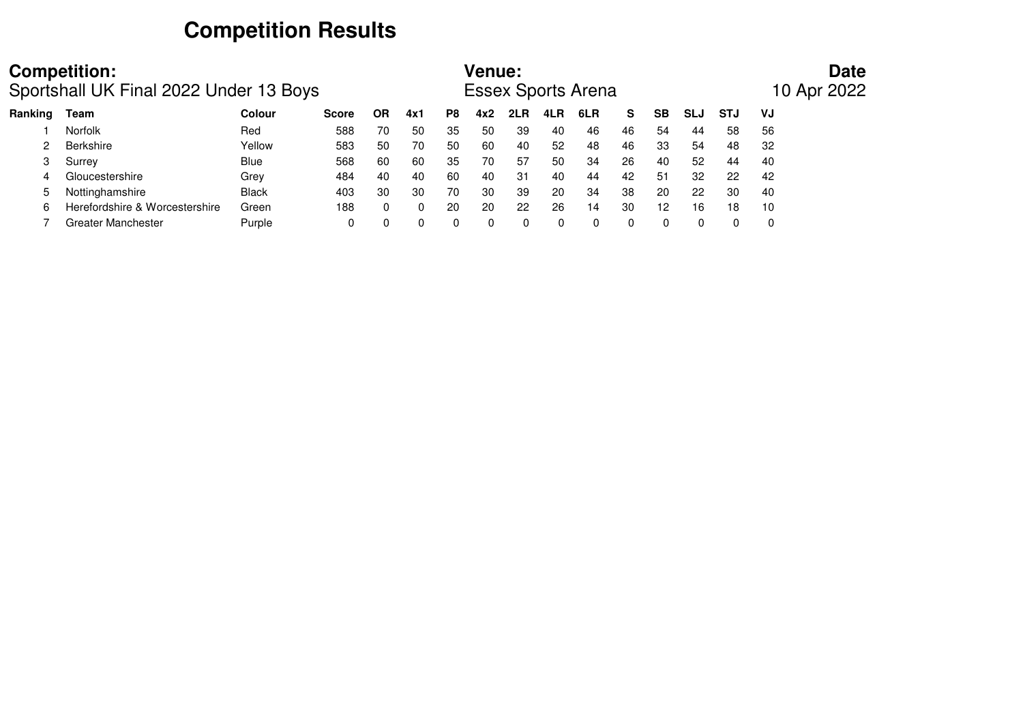# **Competition Results**

|         | <b>Competition:</b><br>Sportshall UK Final 2022 Under 13 Boys |               |              |    |     | <b>Venue:</b> |     |     | <b>Essex Sports Arena</b> |     |    |           |            | <b>Date</b><br>10 Apr 2022 |    |  |
|---------|---------------------------------------------------------------|---------------|--------------|----|-----|---------------|-----|-----|---------------------------|-----|----|-----------|------------|----------------------------|----|--|
| Ranking | Team                                                          | <b>Colour</b> | <b>Score</b> | ΟR | 4x1 | P8            | 4x2 | 2LR | 4LR                       | 6LR | s  | <b>SB</b> | <b>SLJ</b> | <b>STJ</b>                 | VJ |  |
|         | <b>Norfolk</b>                                                | Red           | 588          | 70 | 50  | 35            | 50  | 39  | 40                        | 46  | 46 | 54        | 44         | 58                         | 56 |  |
|         | <b>Berkshire</b>                                              | Yellow        | 583          | 50 | 70  | 50            | 60  | 40  | 52                        | 48  | 46 | 33        | 54         | 48                         | 32 |  |
|         | Surrey                                                        | <b>Blue</b>   | 568          | 60 | 60  | 35            | 70  | -57 | 50                        | 34  | 26 | 40        | 52         | 44                         | 40 |  |
|         | Gloucestershire                                               | Grey          | 484          | 40 | 40  | 60            | 40  | 31  | 40                        | 44  | 42 | 51        | 32         | 22                         | 42 |  |
| 5       | Nottinghamshire                                               | <b>Black</b>  | 403          | 30 | 30  | 70            | -30 | 39  | 20                        | 34  | 38 | 20        | 22         | 30                         | 40 |  |
|         | Herefordshire & Worcestershire                                | Green         | 188          | 0  | 0   | 20            | 20  | 22  | 26                        | 14  | 30 | 12        | 16         | 18                         | 10 |  |
|         | Greater Manchester                                            | Purple        | 0            |    |     | 0             | 0   |     |                           |     |    |           | 0          |                            | 0  |  |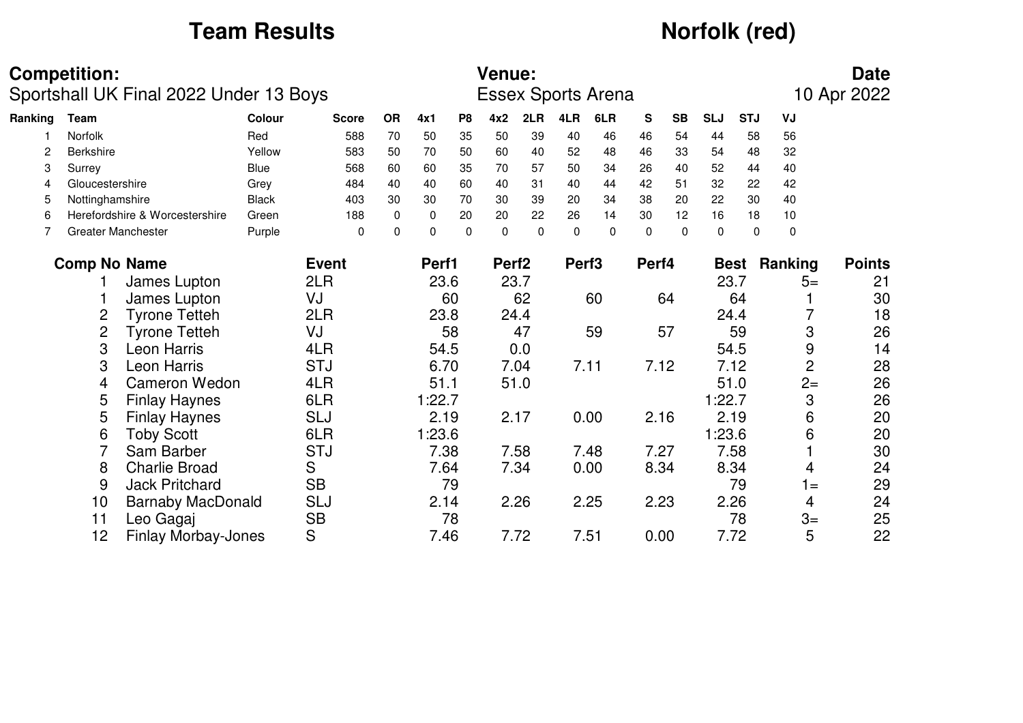# **Team Results** *Norfolk (red)*

|         | <b>Competition:</b> |                                        |              |              |             |             |                | Venue:            |          |                   |                           |          |           |             |             |                | <b>Date</b>   |
|---------|---------------------|----------------------------------------|--------------|--------------|-------------|-------------|----------------|-------------------|----------|-------------------|---------------------------|----------|-----------|-------------|-------------|----------------|---------------|
|         |                     | Sportshall UK Final 2022 Under 13 Boys |              |              |             |             |                |                   |          |                   | <b>Essex Sports Arena</b> |          |           |             |             |                | 10 Apr 2022   |
| Ranking | Team                |                                        | Colour       | <b>Score</b> | <b>OR</b>   | 4x1         | P <sub>8</sub> | 4x2               | 2LR      | 4LR               | 6LR                       | S        | <b>SB</b> | <b>SLJ</b>  | <b>STJ</b>  | VJ             |               |
|         | Norfolk             |                                        | Red          | 588          | 70          | 50          | 35             | 50                | 39       | 40                | 46                        | 46       | 54        | 44          | 58          | 56             |               |
| 2       | Berkshire           |                                        | Yellow       | 583          | 50          | 70          | 50             | 60                | 40       | 52                | 48                        | 46       | 33        | 54          | 48          | 32             |               |
| 3       | Surrey              |                                        | <b>Blue</b>  | 568          | 60          | 60          | 35             | 70                | 57       | 50                | 34                        | 26       | 40        | 52          | 44          | 40             |               |
| 4       | Gloucestershire     |                                        | Grey         | 484          | 40          | 40          | 60             | 40                | 31       | 40                | 44                        | 42       | 51        | 32          | 22          | 42             |               |
| 5       | Nottinghamshire     |                                        | <b>Black</b> | 403          | 30          | 30          | 70             | 30                | 39       | 20                | 34                        | 38       | 20        | 22          | 30          | 40             |               |
| 6       |                     | Herefordshire & Worcestershire         | Green        | 188          | 0           | 0           | 20             | 20                | 22       | 26                | 14                        | 30       | 12        | 16          | 18          | $10$           |               |
| 7       |                     | <b>Greater Manchester</b>              | Purple       | $\Omega$     | $\mathbf 0$ | $\mathbf 0$ | $\Omega$       | $\Omega$          | $\Omega$ | $\Omega$          | $\Omega$                  | $\Omega$ | $\Omega$  | $\mathbf 0$ | $\Omega$    | $\pmb{0}$      |               |
|         | <b>Comp No Name</b> |                                        |              | <b>Event</b> |             | Perf1       |                | Perf <sub>2</sub> |          | Perf <sub>3</sub> |                           | Perf4    |           |             | <b>Best</b> | Ranking        | <b>Points</b> |
|         |                     | James Lupton                           |              | 2LR          |             | 23.6        |                |                   | 23.7     |                   |                           |          |           | 23.7        |             | $5=$           | 21            |
|         |                     | James Lupton                           |              | VJ           |             |             | 60             |                   | 62       |                   | 60                        |          | 64        |             | 64          |                | 30            |
|         | $\overline{c}$      | <b>Tyrone Tetteh</b>                   |              | 2LR          |             | 23.8        |                |                   | 24.4     |                   |                           |          |           |             | 24.4        |                | 18            |
|         | $\overline{c}$      | <b>Tyrone Tetteh</b>                   |              | VJ           |             |             | 58             |                   | 47       |                   | 59                        |          | 57        |             | 59          | 3              | 26            |
|         | 3                   | Leon Harris                            |              | 4LR          |             | 54.5        |                |                   | 0.0      |                   |                           |          |           |             | 54.5        | 9              | 14            |
|         | 3                   | Leon Harris                            |              | <b>STJ</b>   |             | 6.70        |                |                   | 7.04     |                   | 7.11                      | 7.12     |           |             | 7.12        | $\overline{c}$ | 28            |
|         | 4                   | <b>Cameron Wedon</b>                   |              | 4LR          |             | 51.1        |                |                   | 51.0     |                   |                           |          |           |             | 51.0        | $2=$           | 26            |
|         | 5                   | <b>Finlay Haynes</b>                   |              | 6LR          |             | 1:22.7      |                |                   |          |                   |                           |          |           | 1:22.7      |             | 3              | 26            |
|         | 5                   | <b>Finlay Haynes</b>                   |              | <b>SLJ</b>   |             | 2.19        |                | 2.17              |          |                   | 0.00                      | 2.16     |           |             | 2.19        | 6              | 20            |
|         | 6                   | <b>Toby Scott</b>                      |              | 6LR          |             | 1:23.6      |                |                   |          |                   |                           |          |           | 1:23.6      |             | 6              | 20            |
|         |                     | Sam Barber                             |              | <b>STJ</b>   |             | 7.38        |                |                   | 7.58     |                   | 7.48                      | 7.27     |           |             | 7.58        |                | 30            |
|         | 8                   | <b>Charlie Broad</b>                   |              | S            |             | 7.64        |                |                   | 7.34     |                   | 0.00                      | 8.34     |           |             | 8.34        | 4              | 24            |
|         | 9                   | <b>Jack Pritchard</b>                  |              | <b>SB</b>    |             |             | 79             |                   |          |                   |                           |          |           |             | 79          | $1 =$          | 29            |
|         | 10                  | <b>Barnaby MacDonald</b>               |              | SLJ          |             | 2.14        |                |                   | 2.26     |                   | 2.25                      | 2.23     |           |             | 2.26        | 4              | 24            |
|         | 11                  | Leo Gagaj                              |              | <b>SB</b>    |             |             | 78             |                   |          |                   |                           |          |           |             | 78          | $3=$           | 25            |
|         | 12                  | <b>Finlay Morbay-Jones</b>             |              | S            |             | 7.46        |                |                   | 7.72     |                   | 7.51                      | 0.00     |           |             | 7.72        | 5              | 22            |

12 Finlay Morbay-Jones S 7.46 7.72 7.51 0.00 7.72 5 22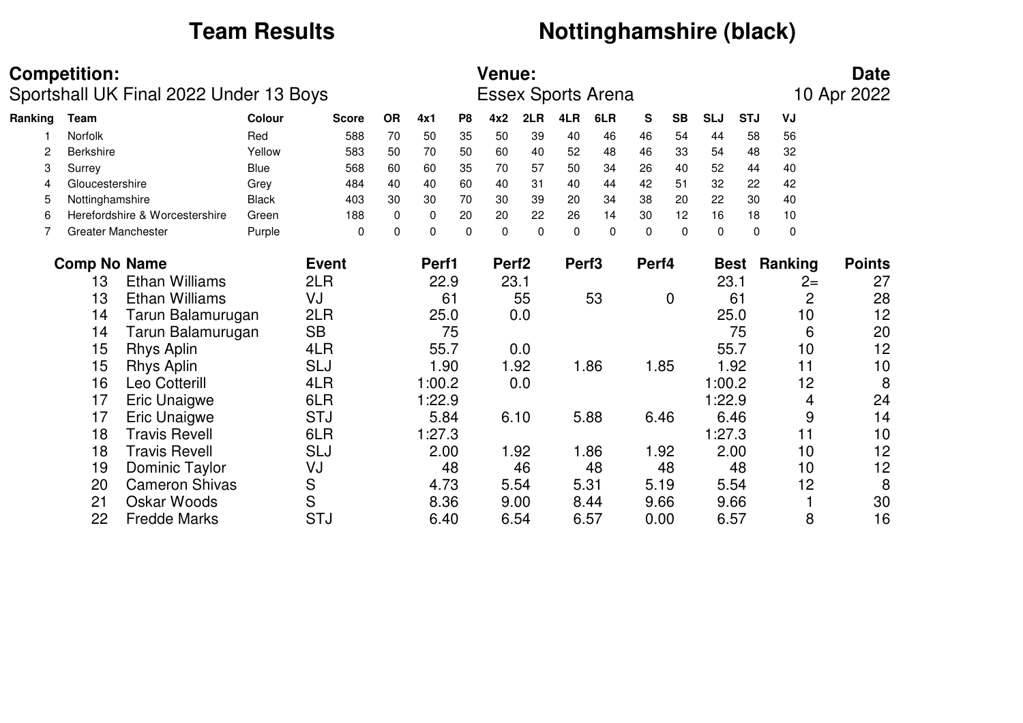18 Travis Revell 6LR 1:27.3<br>18 Travis Revell 6LJ 2.00

### **Team Results** *Nottinghamshire (black)*

1:27.3 11 10

 $10$ 

 $12$ 

8

30

16

|         | <b>Competition:</b> | Sportshall UK Final 2022 Under 13 Boys |               |                   |             |          |          | <b>Venue:</b>     |               |                   | <b>Essex Sports Arena</b> |               |             |            |             |             | <b>Date</b><br>10 Apr 2022 |
|---------|---------------------|----------------------------------------|---------------|-------------------|-------------|----------|----------|-------------------|---------------|-------------------|---------------------------|---------------|-------------|------------|-------------|-------------|----------------------------|
| Ranking | Team                |                                        | <b>Colour</b> | <b>Score</b>      | <b>OR</b>   | 4x1      | P8       | 4x2               | 2LR           | 4LR               | 6LR                       | S             | <b>SB</b>   | <b>SLJ</b> | <b>STJ</b>  | VJ          |                            |
|         | Norfolk             |                                        | Red           | 588               | 70          | 50       | 35       | 50                | 39            | 40                | 46                        | 46            | 54          | 44         | 58          | 56          |                            |
|         | <b>Berkshire</b>    |                                        | Yellow        | 583               | 50          | 70       | 50       | 60                | 40            | 52                | 48                        | 46            | 33          | 54         | 48          | 32          |                            |
| 3       | Surrey              |                                        | <b>Blue</b>   | 568               | 60          | 60       | 35       | 70                | 57            | 50                | 34                        | 26            | 40          | 52         | 44          | 40          |                            |
| 4       | Gloucestershire     |                                        | Grey          | 484               | 40          | 40       | 60       | 40                | 31            | 40                | 44                        | 42            | 51          | 32         | 22          | 42          |                            |
| 5       | Nottinghamshire     |                                        | <b>Black</b>  | 403               | 30          | 30       | 70       | 30                | 39            | 20                | 34                        | 38            | 20          | 22         | 30          | 40          |                            |
| 6       |                     | Herefordshire & Worcestershire         | Green         | 188               | $\mathbf 0$ | $\Omega$ | 20       | 20                | 22            | 26                | 14                        | 30            | 12          | 16         | 18          | 10          |                            |
|         |                     | <b>Greater Manchester</b>              | Purple        | 0                 | $\mathbf 0$ | $\Omega$ | $\Omega$ | $\Omega$          | $\Omega$      | 0                 | 0                         | 0             | $\Omega$    | 0          | $\Omega$    | $\mathbf 0$ |                            |
|         | <b>Comp No Name</b> |                                        |               | <b>Event</b>      |             | Perf1    |          | Perf <sub>2</sub> |               | Perf <sub>3</sub> |                           | Perf4         |             |            | <b>Best</b> | Ranking     | <b>Points</b>              |
|         | 13                  | <b>Ethan Williams</b>                  |               | 2LR               |             | 22.9     |          |                   | 23.1          |                   |                           |               |             | 23.1       |             |             | 27<br>$2=$                 |
|         | 13                  | <b>Ethan Williams</b>                  |               | VJ                |             |          | 61       |                   | 55            |                   | 53                        |               | $\mathbf 0$ |            | 61          |             | 28<br>2                    |
|         | 14                  | Tarun Balamurugan                      |               | 2LR               |             | 25.0     |          |                   | 0.0           |                   |                           |               |             |            | 25.0        |             | 12<br>10                   |
|         | 14                  | Tarun Balamurugan                      |               | <b>SB</b>         |             |          | 75       |                   |               |                   |                           |               |             |            | 75          |             | 20<br>6                    |
|         | 15                  | <b>Rhys Aplin</b>                      |               | 4LR               |             | 55.7     |          |                   | 0.0           |                   |                           |               |             |            | 55.7        |             | 12<br>10                   |
|         | 15                  | <b>Rhys Aplin</b>                      |               | SLJ               |             | 1.90     |          |                   | 1.92          |                   | 1.86                      | 1.85          |             |            | 1.92        | 11          | 10                         |
|         | 16                  | Leo Cotterill                          |               | 4LR               |             | 1:00.2   |          |                   | 0.0           |                   |                           |               |             | 1:00.2     |             |             | 8<br>12                    |
|         | 17                  | <b>Eric Unaigwe</b>                    |               | 6LR               |             | 1:22.9   |          |                   |               |                   |                           |               |             | 1:22.9     |             |             | 24<br>4                    |
|         |                     |                                        |               | $\sim$ $+$ $\sim$ |             | - - -    |          |                   | $\sim$ $\sim$ |                   | - ^^                      | $\sim$ $\sim$ |             |            |             |             |                            |

18 Travis Revell SLJ 2.00 1.92 1.86 1.92 2.00 10 12

19 Dominic Taylor VJ 48 46 48 48 48 10 12

20 Cameron Shivas S 4.73 5.54 5.31 5.19 5.54 12 8

21 Oskar Woods S 8.36 9.00 8.44 9.66 9.66 1 30

22 Fredde Marks STJ 6.40 6.54 6.57 0.00 6.57 8 16

17 Eric Unaigwe STJ 5.84 6.10 5.88 6.46 6.46 9 14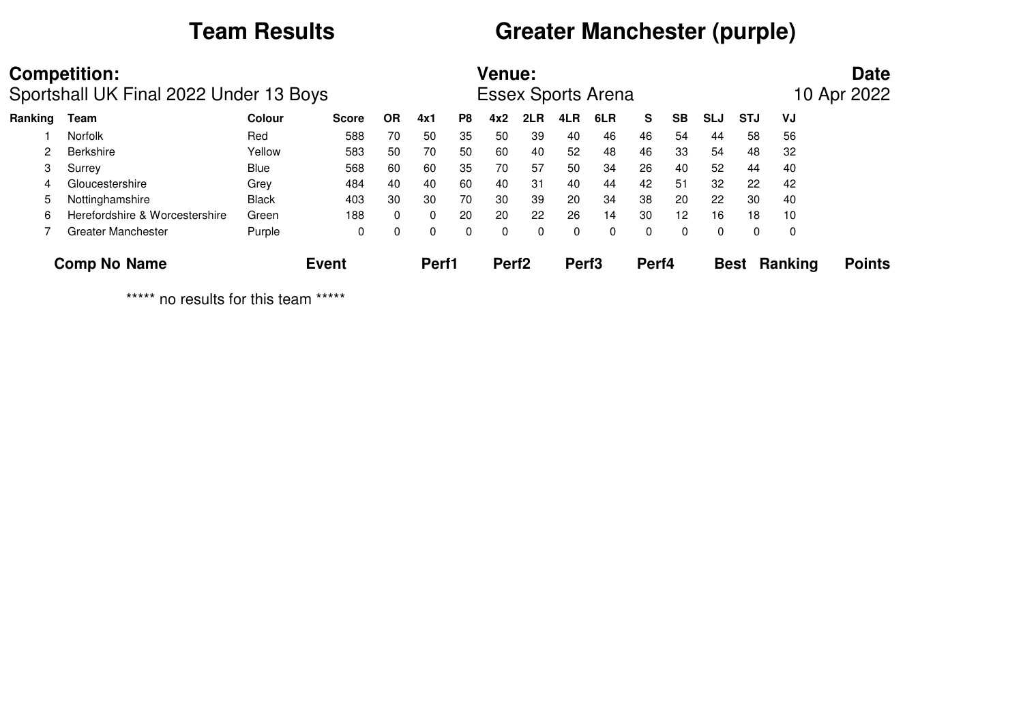# **Team Results Greater Manchester (purple)**

|         | <b>Competition:</b>                    |               |              |           |          |    | <b>Venue:</b>     |     |                   |                           |       |           |             |            |                | <b>Date</b>   |
|---------|----------------------------------------|---------------|--------------|-----------|----------|----|-------------------|-----|-------------------|---------------------------|-------|-----------|-------------|------------|----------------|---------------|
|         | Sportshall UK Final 2022 Under 13 Boys |               |              |           |          |    |                   |     |                   | <b>Essex Sports Arena</b> |       |           |             |            |                | 10 Apr 2022   |
| Ranking | Team                                   | <b>Colour</b> | <b>Score</b> | <b>OR</b> | 4x1      | P8 | 4x2               | 2LR | 4LR               | 6LR                       | S.    | <b>SB</b> | <b>SLJ</b>  | <b>STJ</b> | VJ             |               |
|         | <b>Norfolk</b>                         | Red           | 588          | 70        | 50       | 35 | 50                | 39  | 40                | 46                        | 46    | 54        | 44          | 58         | 56             |               |
| 2       | <b>Berkshire</b>                       | Yellow        | 583          | 50        | 70       | 50 | 60                | 40  | 52                | 48                        | 46    | 33        | 54          | 48         | 32             |               |
| 3       | Surrey                                 | <b>Blue</b>   | 568          | 60        | 60       | 35 | 70                | 57  | 50                | 34                        | 26    | 40        | 52          | 44         | 40             |               |
| 4       | Gloucestershire                        | Grey          | 484          | 40        | 40       | 60 | 40                | 31  | 40                | 44                        | 42    | 51        | 32          | 22         | 42             |               |
| 5       | Nottinghamshire                        | <b>Black</b>  | 403          | 30        | 30       | 70 | 30                | 39  | 20                | 34                        | 38    | 20        | 22          | 30         | 40             |               |
| 6       | Herefordshire & Worcestershire         | Green         | 188          | 0         | $\Omega$ | 20 | 20                | 22  | 26                | 14                        | 30    | 12        | 16          | 18         | 10             |               |
|         | <b>Greater Manchester</b>              | Purple        | 0            | 0         | 0        | 0  | 0                 | 0   | 0                 | 0                         | 0     | $\Omega$  | $\Omega$    | 0          | 0              |               |
|         | <b>Comp No Name</b>                    |               | <b>Event</b> |           | Perf1    |    | Perf <sub>2</sub> |     | Perf <sub>3</sub> |                           | Perf4 |           | <b>Best</b> |            | <b>Ranking</b> | <b>Points</b> |

\*\*\*\*\* no results for this team \*\*\*\*\*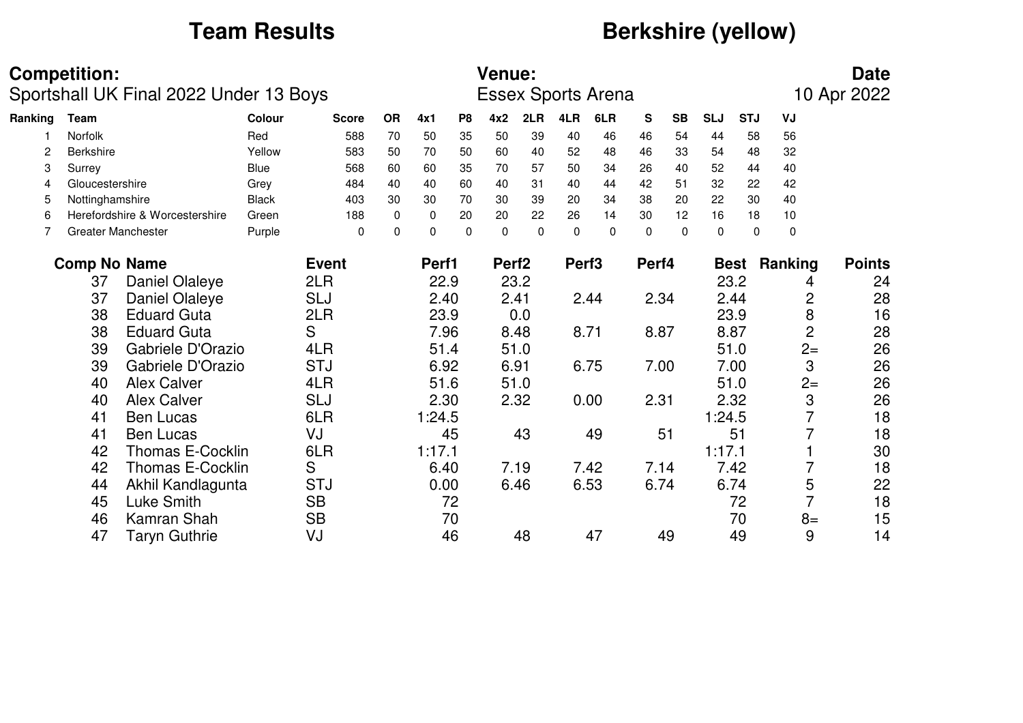# **Team Results** *Berkshire (yellow)*

|         | <b>Competition:</b> | Sportshall UK Final 2022 Under 13 Boys |               |              |             |             |                | <b>Venue:</b>     |          |                   | <b>Essex Sports Arena</b> |              |           |             |             |                | <b>Date</b><br>10 Apr 2022 |
|---------|---------------------|----------------------------------------|---------------|--------------|-------------|-------------|----------------|-------------------|----------|-------------------|---------------------------|--------------|-----------|-------------|-------------|----------------|----------------------------|
| Ranking | <b>Team</b>         |                                        | <b>Colour</b> | <b>Score</b> | <b>OR</b>   | 4x1         | P <sub>8</sub> | 4x2               | 2LR      | 4LR               | 6LR                       | $\mathbf{s}$ | <b>SB</b> | <b>SLJ</b>  | <b>STJ</b>  | VJ             |                            |
|         | Norfolk             |                                        | Red           | 588          | 70          | 50          | 35             | 50                | 39       | 40                | 46                        | 46           | 54        | 44          | 58          | 56             |                            |
|         | <b>Berkshire</b>    |                                        | Yellow        | 583          | 50          | 70          | 50             | 60                | 40       | 52                | 48                        | 46           | 33        | 54          | 48          | 32             |                            |
| 3       | Surrey              |                                        | Blue          | 568          | 60          | 60          | 35             | 70                | 57       | 50                | 34                        | 26           | 40        | 52          | 44          | 40             |                            |
| 4       | Gloucestershire     |                                        | Grey          | 484          | 40          | 40          | 60             | 40                | 31       | 40                | 44                        | 42           | 51        | 32          | 22          | 42             |                            |
| 5       | Nottinghamshire     |                                        | <b>Black</b>  | 403          | 30          | 30          | 70             | 30                | 39       | 20                | 34                        | 38           | 20        | 22          | 30          | 40             |                            |
| 6       |                     | Herefordshire & Worcestershire         | Green         | 188          | $\mathbf 0$ | $\mathbf 0$ | 20             | 20                | 22       | 26                | 14                        | 30           | 12        | 16          | 18          | 10             |                            |
| 7       |                     | <b>Greater Manchester</b>              | Purple        | $\Omega$     | $\mathbf 0$ | $\Omega$    | $\Omega$       | $\Omega$          | $\Omega$ | $\Omega$          | $\Omega$                  | $\Omega$     | $\Omega$  | $\mathbf 0$ | 0           | 0              |                            |
|         | <b>Comp No Name</b> |                                        |               | <b>Event</b> |             | Perf1       |                | Perf <sub>2</sub> |          | Perf <sub>3</sub> |                           | Perf4        |           |             | <b>Best</b> | Ranking        | <b>Points</b>              |
|         | 37                  | Daniel Olaleye                         |               | 2LR          |             | 22.9        |                |                   | 23.2     |                   |                           |              |           |             | 23.2        | 4              | 24                         |
|         | 37                  | Daniel Olaleye                         |               | SLJ          |             | 2.40        |                |                   | 2.41     |                   | 2.44                      |              | 2.34      |             | 2.44        | 2              | 28                         |
|         | 38                  | <b>Eduard Guta</b>                     |               | 2LR          |             | 23.9        |                |                   | 0.0      |                   |                           |              |           |             | 23.9        | 8              | 16                         |
|         | 38                  | <b>Eduard Guta</b>                     |               | S            |             | 7.96        |                |                   | 8.48     |                   | 8.71                      | 8.87         |           |             | 8.87        | $\overline{c}$ | 28                         |
|         | 39                  | Gabriele D'Orazio                      |               | 4LR          |             | 51.4        |                |                   | 51.0     |                   |                           |              |           |             | 51.0        | $2 =$          | 26                         |
|         | 39                  | Gabriele D'Orazio                      |               | <b>STJ</b>   |             | 6.92        |                |                   | 6.91     |                   | 6.75                      | 7.00         |           |             | 7.00        | 3              | 26                         |
|         | 40                  | <b>Alex Calver</b>                     |               | 4LR          |             | 51.6        |                |                   | 51.0     |                   |                           |              |           |             | 51.0        | $2 =$          | 26                         |
|         | 40                  | <b>Alex Calver</b>                     |               | SLJ          |             | 2.30        |                |                   | 2.32     |                   | 0.00                      | 2.31         |           |             | 2.32        | 3              | 26                         |
|         | 41                  | <b>Ben Lucas</b>                       |               | 6LR          |             | 1:24.5      |                |                   |          |                   |                           |              |           | 1:24.5      |             | $\overline{7}$ | 18                         |
|         | 41                  | <b>Ben Lucas</b>                       |               | VJ           |             |             | 45             |                   | 43       |                   | 49                        |              | 51        |             | 51          |                | 18                         |
|         | 42                  | <b>Thomas E-Cocklin</b>                |               | 6LR          |             | 1:17.1      |                |                   |          |                   |                           |              |           | 1:17.1      |             |                | 30                         |
|         | 42                  | <b>Thomas E-Cocklin</b>                |               | S            |             | 6.40        |                |                   | 7.19     |                   | 7.42                      |              | 7.14      |             | 7.42        |                | 18                         |
|         | 44                  | Akhil Kandlagunta                      |               | <b>STJ</b>   |             | 0.00        |                |                   | 6.46     |                   | 6.53                      |              | 6.74      |             | 6.74        | 5              | 22                         |
|         | 45                  | Luke Smith                             |               | <b>SB</b>    |             |             | 72             |                   |          |                   |                           |              |           |             | 72          | $\overline{7}$ | 18                         |
|         | 46                  | Kamran Shah                            |               | <b>SB</b>    |             |             | 70             |                   |          |                   |                           |              |           |             | 70          | $8=$           | 15                         |
|         | 47                  | Taryn Guthrie                          |               | VJ           |             |             | 46             |                   | 48       |                   | 47                        |              | 49        |             | 49          | 9              | 14                         |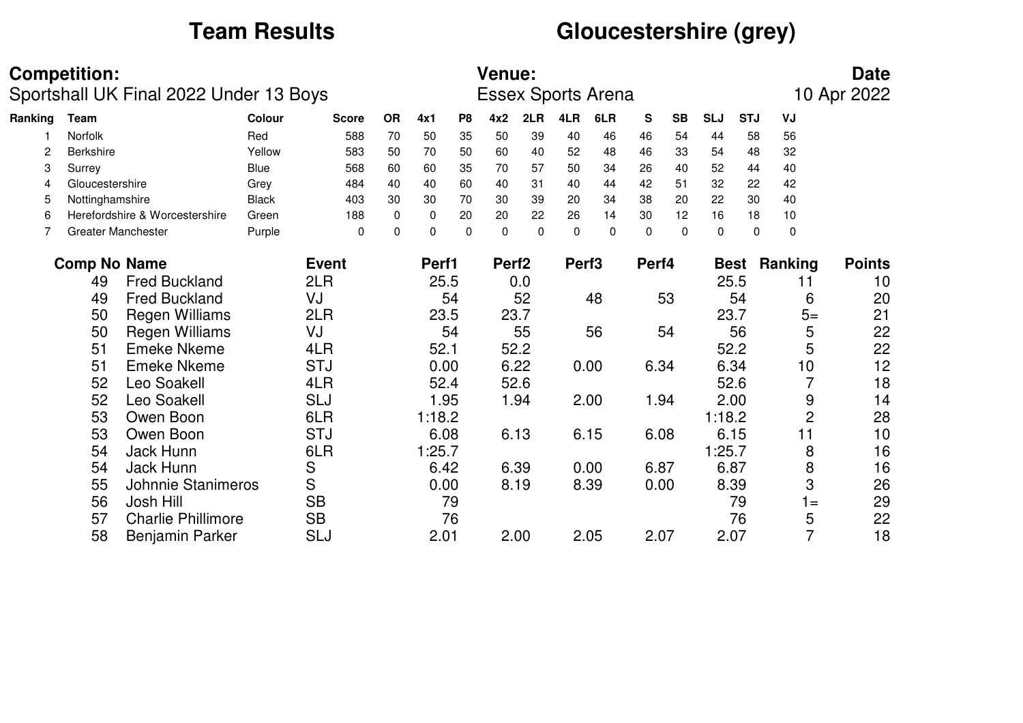# **Team Results Gloucestershire (grey)**

|         | <b>Competition:</b> | Sportshall UK Final 2022 Under 13 Boys |              |              |           |             |                | <b>Venue:</b>     |          |                   | <b>Essex Sports Arena</b> |           |           |            |             |                       | <b>Date</b><br>10 Apr 2022 |
|---------|---------------------|----------------------------------------|--------------|--------------|-----------|-------------|----------------|-------------------|----------|-------------------|---------------------------|-----------|-----------|------------|-------------|-----------------------|----------------------------|
| Ranking | Team                |                                        | Colour       | <b>Score</b> | <b>OR</b> | 4x1         | P <sub>8</sub> | 4x2               | 2LR      | 4LR               | 6LR                       | ${\bf S}$ | <b>SB</b> | <b>SLJ</b> | <b>STJ</b>  | VJ                    |                            |
|         | <b>Norfolk</b>      |                                        | Red          | 588          | 70        | 50          | 35             | 50                | 39       | 40                | 46                        | 46        | 54        | 44         | 58          | 56                    |                            |
| 2       | <b>Berkshire</b>    |                                        | Yellow       | 583          | 50        | 70          | 50             | 60                | 40       | 52                | 48                        | 46        | 33        | 54         | 48          | 32                    |                            |
| 3       | Surrey              |                                        | Blue         | 568          | 60        | 60          | 35             | 70                | 57       | 50                | 34                        | 26        | 40        | 52         | 44          | 40                    |                            |
| 4       | Gloucestershire     |                                        | Grey         | 484          | 40        | 40          | 60             | 40                | 31       | 40                | 44                        | 42        | 51        | 32         | 22          | 42                    |                            |
| 5       | Nottinghamshire     |                                        | <b>Black</b> | 403          | 30        | 30          | 70             | 30                | 39       | 20                | 34                        | 38        | 20        | 22         | 30          | 40                    |                            |
| 6       |                     | Herefordshire & Worcestershire         | Green        | 188          | 0         | $\mathbf 0$ | 20             | 20                | 22       | 26                | 14                        | 30        | 12        | 16         | 18          | 10                    |                            |
| 7       |                     | <b>Greater Manchester</b>              | Purple       | $\Omega$     | $\Omega$  | $\Omega$    | $\Omega$       | $\Omega$          | $\Omega$ | $\Omega$          | $\Omega$                  | $\Omega$  | $\Omega$  | $\Omega$   |             | $\pmb{0}$<br>$\Omega$ |                            |
|         | <b>Comp No Name</b> |                                        |              | <b>Event</b> |           | Perf1       |                | Perf <sub>2</sub> |          | Perf <sub>3</sub> |                           | Perf4     |           |            | <b>Best</b> | Ranking               | <b>Points</b>              |
|         | 49                  | <b>Fred Buckland</b>                   |              | 2LR          |           | 25.5        |                |                   | 0.0      |                   |                           |           |           |            | 25.5        | 11                    | 10                         |
|         | 49                  | <b>Fred Buckland</b>                   |              | VJ           |           |             | 54             |                   | 52       |                   | 48                        |           | 53        |            | 54          | 6                     | 20                         |
|         | 50                  | <b>Regen Williams</b>                  |              | 2LR          |           | 23.5        |                |                   | 23.7     |                   |                           |           |           |            | 23.7        | $5=$                  | 21                         |
|         | 50                  | <b>Regen Williams</b>                  |              | VJ           |           |             | 54             |                   | 55       |                   | 56                        |           | 54        |            | 56          | 5                     | 22                         |
|         | 51                  | <b>Emeke Nkeme</b>                     |              | 4LR          |           | 52.1        |                |                   | 52.2     |                   |                           |           |           |            | 52.2        | 5                     | 22                         |
|         | 51                  | <b>Emeke Nkeme</b>                     |              | <b>STJ</b>   |           | 0.00        |                |                   | 6.22     |                   | 0.00                      | 6.34      |           |            | 6.34        | 10                    | 12                         |
|         | 52                  | Leo Soakell                            |              | 4LR          |           | 52.4        |                |                   | 52.6     |                   |                           |           |           |            | 52.6        |                       | 18                         |
|         | 52                  | Leo Soakell                            |              | SLJ          |           | 1.95        |                |                   | 1.94     |                   | 2.00                      |           | 1.94      |            | 2.00        | 9                     | 14                         |
|         | 53                  | Owen Boon                              |              | 6LR          |           | 1:18.2      |                |                   |          |                   |                           |           |           | 1:18.2     |             | $\overline{c}$        | 28                         |
|         | 53                  | Owen Boon                              |              | <b>STJ</b>   |           | 6.08        |                |                   | 6.13     |                   | 6.15                      | 6.08      |           |            | 6.15        | 11                    | 10                         |
|         | 54                  | Jack Hunn                              |              | 6LR          |           | 1:25.7      |                |                   |          |                   |                           |           |           | 1:25.7     |             | 8                     | 16                         |
|         | 54                  | Jack Hunn                              |              | S            |           | 6.42        |                |                   | 6.39     |                   | 0.00                      | 6.87      |           |            | 6.87        | 8                     | 16                         |
|         | 55                  | Johnnie Stanimeros                     |              | S            |           | 0.00        |                |                   | 8.19     |                   | 8.39                      |           | 0.00      |            | 8.39        | 3                     | 26                         |
|         | 56                  | Josh Hill                              |              | <b>SB</b>    |           |             | 79             |                   |          |                   |                           |           |           |            | 79          | $1 =$                 | 29                         |
|         | 57                  | <b>Charlie Phillimore</b>              |              | <b>SB</b>    |           |             | 76             |                   |          |                   |                           |           |           |            | 76          | 5                     | 22                         |
|         | 58                  | <b>Benjamin Parker</b>                 |              | SLJ          |           | 2.01        |                |                   | 2.00     |                   | 2.05                      | 2.07      |           |            | 2.07        | $\overline{7}$        | 18                         |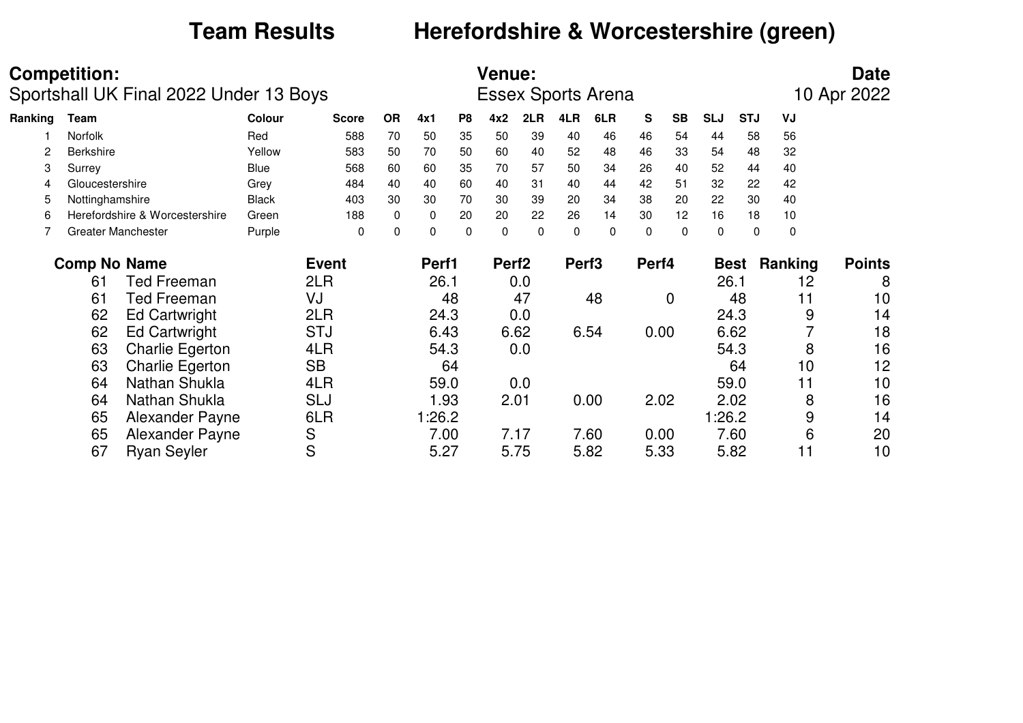# **Team Results Herefordshire & Worcestershire (green)**

|         | <b>Competition:</b> | Sportshall UK Final 2022 Under 13 Boys |              |              |             |          |                | <b>Venue:</b>     |          |                   | <b>Essex Sports Arena</b> |          |           |            |             |         | <b>Date</b><br>10 Apr 2022 |
|---------|---------------------|----------------------------------------|--------------|--------------|-------------|----------|----------------|-------------------|----------|-------------------|---------------------------|----------|-----------|------------|-------------|---------|----------------------------|
| Ranking | Team                |                                        | Colour       | <b>Score</b> | <b>OR</b>   | 4x1      | P <sub>8</sub> | 4x2               | 2LR      | 4LR               | 6LR                       | S        | <b>SB</b> | <b>SLJ</b> | <b>STJ</b>  | VJ      |                            |
|         | Norfolk             |                                        | Red          | 588          | 70          | 50       | 35             | 50                | 39       | 40                | 46                        | 46       | 54        | 44         | 58          | 56      |                            |
| 2       | <b>Berkshire</b>    |                                        | Yellow       | 583          | 50          | 70       | 50             | 60                | 40       | 52                | 48                        | 46       | 33        | 54         | 48          | 32      |                            |
| 3       | Surrey              |                                        | <b>Blue</b>  | 568          | 60          | 60       | 35             | 70                | 57       | 50                | 34                        | 26       | 40        | 52         | 44          | 40      |                            |
| 4       | Gloucestershire     |                                        | Grey         | 484          | 40          | 40       | 60             | 40                | 31       | 40                | 44                        | 42       | 51        | 32         | 22          | 42      |                            |
| 5       | Nottinghamshire     |                                        | <b>Black</b> | 403          | 30          | 30       | 70             | 30                | 39       | 20                | 34                        | 38       | 20        | 22         | 30          | 40      |                            |
| 6       |                     | Herefordshire & Worcestershire         | Green        | 188          | $\mathbf 0$ | 0        | 20             | 20                | 22       | 26                | 14                        | 30       | 12        | 16         | 18          | 10      |                            |
|         |                     | <b>Greater Manchester</b>              | Purple       | 0            | $\mathbf 0$ | $\Omega$ | $\mathbf 0$    | $\Omega$          | $\Omega$ | $\Omega$          | $\Omega$                  | $\Omega$ | $\Omega$  | 0          | $\Omega$    | 0       |                            |
|         | <b>Comp No Name</b> |                                        |              | <b>Event</b> |             | Perf1    |                | Perf <sub>2</sub> |          | Perf <sub>3</sub> |                           | Perf4    |           |            | <b>Best</b> | Ranking | <b>Points</b>              |
|         | 61                  | <b>Ted Freeman</b>                     |              | 2LR          |             | 26.1     |                |                   | 0.0      |                   |                           |          |           | 26.1       |             | 12      | 8                          |
|         | 61                  | <b>Ted Freeman</b>                     |              | VJ           |             |          | 48             |                   | 47       |                   | 48                        |          | 0         |            | 48          | 11      | 10                         |
|         | 62                  | <b>Ed Cartwright</b>                   |              | 2LR          |             | 24.3     |                |                   | 0.0      |                   |                           |          |           |            | 24.3        | 9       | 14                         |
|         | 62                  | <b>Ed Cartwright</b>                   |              | <b>STJ</b>   |             | 6.43     |                |                   | 6.62     |                   | 6.54                      | 0.00     |           |            | 6.62        |         | 18                         |
|         | 63                  | <b>Charlie Egerton</b>                 |              | 4LR          |             | 54.3     |                |                   | 0.0      |                   |                           |          |           |            | 54.3        | 8       | 16                         |
|         | 63                  | <b>Charlie Egerton</b>                 |              | <b>SB</b>    |             |          | 64             |                   |          |                   |                           |          |           |            | 64          | 10      | 12                         |
|         | 64                  | Nathan Shukla                          |              | 4LR          |             | 59.0     |                |                   | 0.0      |                   |                           |          |           |            | 59.0        | 11      | 10                         |
|         | 64                  | Nathan Shukla                          |              | <b>SLJ</b>   |             | 1.93     |                | 2.01              |          |                   | 0.00                      | 2.02     |           |            | 2.02        | 8       | 16                         |
|         | 65                  | Alexander Payne                        |              | 6LR          |             | 1:26.2   |                |                   |          |                   |                           |          |           | 1:26.2     |             | 9       | 14                         |
|         | 65                  | Alexander Payne                        |              | S            |             | 7.00     |                |                   | 7.17     |                   | 7.60                      | 0.00     |           |            | 7.60        | 6       | 20                         |
|         | 67                  | <b>Ryan Seyler</b>                     |              | S            |             | 5.27     |                |                   | 5.75     |                   | 5.82                      | 5.33     |           |            | 5.82        | 11      | 10                         |
|         |                     |                                        |              |              |             |          |                |                   |          |                   |                           |          |           |            |             |         |                            |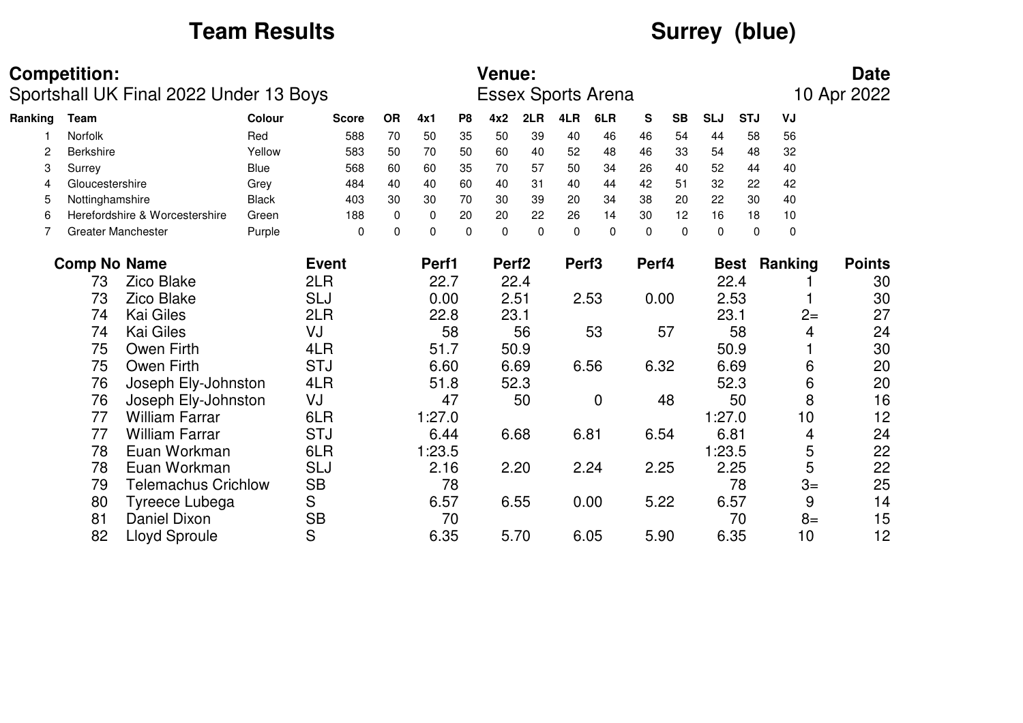# Team Results<br> **Surrey (blue)**

|         | <b>Competition:</b> | Sportshall UK Final 2022 Under 13 Boys |              |              |             |          |                | <b>Venue:</b>     |          |                   | <b>Essex Sports Arena</b> |       |           |             |             |                          | <b>Date</b><br>10 Apr 2022 |
|---------|---------------------|----------------------------------------|--------------|--------------|-------------|----------|----------------|-------------------|----------|-------------------|---------------------------|-------|-----------|-------------|-------------|--------------------------|----------------------------|
| Ranking | Team                |                                        | Colour       | <b>Score</b> | <b>OR</b>   | 4x1      | P <sub>8</sub> | 4x2               | 2LR      | 4LR               | 6LR                       | S     | <b>SB</b> | <b>SLJ</b>  | <b>STJ</b>  | VJ                       |                            |
|         | Norfolk             |                                        | Red          | 588          | 70          | 50       | 35             | 50                | 39       | 40                | 46                        | 46    | 54        | 44          | 58          | 56                       |                            |
| 2       | <b>Berkshire</b>    |                                        | Yellow       | 583          | 50          | 70       | 50             | 60                | 40       | 52                | 48                        | 46    | 33        | 54          | 48          | 32                       |                            |
| 3       | Surrey              |                                        | <b>Blue</b>  | 568          | 60          | 60       | 35             | 70                | 57       | 50                | 34                        | 26    | 40        | 52          | 44          | 40                       |                            |
| 4       | Gloucestershire     |                                        | Grey         | 484          | 40          | 40       | 60             | 40                | 31       | 40                | 44                        | 42    | 51        | 32          | 22          | 42                       |                            |
| 5       | Nottinghamshire     |                                        | <b>Black</b> | 403          | 30          | 30       | 70             | 30                | 39       | 20                | 34                        | 38    | 20        | 22          | 30          | 40                       |                            |
| 6       |                     | Herefordshire & Worcestershire         | Green        | 188          | $\mathbf 0$ | 0        | 20             | 20                | 22       | 26                | 14                        | 30    | 12        | 16          | 18          | 10                       |                            |
|         |                     | <b>Greater Manchester</b>              | Purple       | $\mathbf 0$  | 0           | $\Omega$ | 0              | 0                 | $\Omega$ | $\mathbf 0$       | 0                         | 0     | $\Omega$  | $\mathbf 0$ |             | $\mathbf 0$<br>$\pmb{0}$ |                            |
|         | <b>Comp No Name</b> |                                        |              | <b>Event</b> |             | Perf1    |                | Perf <sub>2</sub> |          | Perf <sub>3</sub> |                           | Perf4 |           |             | <b>Best</b> | Ranking                  | <b>Points</b>              |
|         | 73                  | <b>Zico Blake</b>                      |              | 2LR          |             | 22.7     |                |                   | 22.4     |                   |                           |       |           |             | 22.4        |                          | 30                         |
|         | 73                  | <b>Zico Blake</b>                      |              | <b>SLJ</b>   |             | 0.00     |                |                   | 2.51     |                   | 2.53                      |       | 0.00      |             | 2.53        |                          | 30                         |
|         | 74                  | <b>Kai Giles</b>                       |              | 2LR          |             | 22.8     |                | 23.1              |          |                   |                           |       |           | 23.1        |             |                          | 27<br>$2=$                 |
|         | 74                  | <b>Kai Giles</b>                       |              | VJ           |             |          | 58             |                   | 56       |                   | 53                        |       | 57        |             | 58          |                          | 24<br>4                    |
|         | 75                  | Owen Firth                             |              | 4LR          |             | 51.7     |                |                   | 50.9     |                   |                           |       |           |             | 50.9        |                          | 30                         |
|         | 75                  | Owen Firth                             |              | <b>STJ</b>   |             | 6.60     |                |                   | 6.69     |                   | 6.56                      | 6.32  |           |             | 6.69        |                          | 20<br>6                    |
|         | 76                  | Joseph Ely-Johnston                    |              | 4LR          |             | 51.8     |                |                   | 52.3     |                   |                           |       |           |             | 52.3        |                          | 6<br>20                    |
|         | 76                  | Joseph Ely-Johnston                    |              | VJ           |             |          | 47             |                   | 50       |                   | $\mathbf 0$               |       | 48        |             | 50          |                          | 16<br>8                    |
|         | 77                  | <b>William Farrar</b>                  |              | 6LR          |             | 1:27.0   |                |                   |          |                   |                           |       |           | 1:27.0      |             |                          | 12<br>10                   |
|         | 77                  | <b>William Farrar</b>                  |              | <b>STJ</b>   |             | 6.44     |                |                   | 6.68     |                   | 6.81                      | 6.54  |           | 6.81        |             |                          | 24<br>4                    |
|         | 78                  | Euan Workman                           |              | 6LR          |             | 1:23.5   |                |                   |          |                   |                           |       |           | 1:23.5      |             |                          | 5<br>22                    |
|         | 78                  | Euan Workman                           |              | <b>SLJ</b>   |             | 2.16     |                |                   | 2.20     |                   | 2.24                      | 2.25  |           |             | 2.25        |                          | 5<br>22                    |
|         | 79                  | <b>Telemachus Crichlow</b>             |              | <b>SB</b>    |             |          | 78             |                   |          |                   |                           |       |           |             | 78          |                          | 25<br>$3=$                 |
|         | 80                  | Tyreece Lubega                         |              | S            |             | 6.57     |                |                   | 6.55     |                   | 0.00                      |       | 5.22      |             | 6.57        |                          | 9<br>14                    |
|         | 81                  | Daniel Dixon                           |              | <b>SB</b>    |             |          | 70             |                   |          |                   |                           |       |           |             | 70          |                          | 15<br>$8=$                 |
|         | 82                  | <b>Lloyd Sproule</b>                   |              | S            |             | 6.35     |                |                   | 5.70     |                   | 6.05                      |       | 5.90      |             | 6.35        |                          | 12<br>10                   |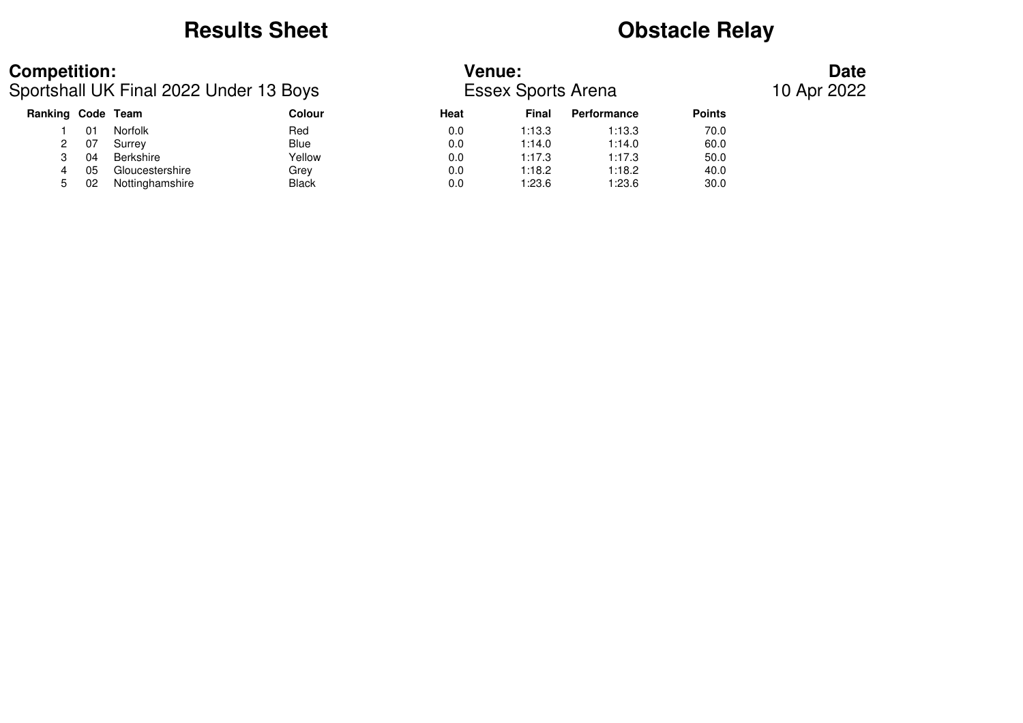### **Results Sheet Obstacle Relay**

### **Competition: Venue: Date**

Sportshall UK Final 2022 Under 13 Boys Essex Sports Arena 10 Apr 2022

| Ranking Code Team |    |                 | <b>Colour</b> | Heat | <b>Final</b> | Performance | <b>Points</b> |
|-------------------|----|-----------------|---------------|------|--------------|-------------|---------------|
|                   | 01 | <b>Norfolk</b>  | Red           | 0.0  | 1:13.3       | 1:13.3      | 70.0          |
|                   | 07 | Surrey          | <b>Blue</b>   | 0.0  | 1:14.0       | 1:14.0      | 60.0          |
|                   | 04 | Berkshire       | Yellow        | 0.0  | 1:17.3       | 1:17.3      | 50.0          |
|                   | 05 | Gloucestershire | Grev          | 0.0  | 1:18.2       | 1:18.2      | 40.0          |
|                   | 02 | Nottinghamshire | <b>Black</b>  | 0.0  | 1:23.6       | 1:23.6      | 30.0          |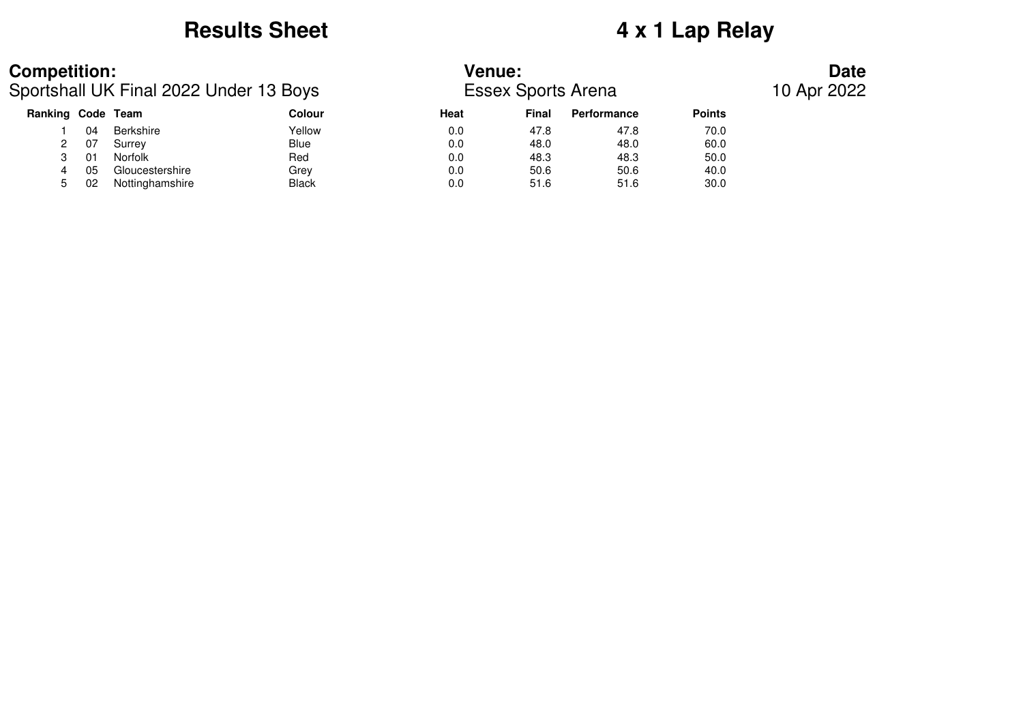### **Results Sheet 4 x 1 Lap Relay**

### **Competition: Venue: Date**

Sportshall UK Final 2022 Under 13 Boys Essex Sports Arena 10 Apr 2022

| Ranking Code |     | Team            | <b>Colour</b> | Heat | Final | <b>Performance</b> | <b>Points</b> |
|--------------|-----|-----------------|---------------|------|-------|--------------------|---------------|
|              | 04  | Berkshire       | Yellow        | 0.0  | 47.8  | 47.8               | 70.0          |
|              | 07  | Surrey          | Blue          | 0.0  | 48.0  | 48.0               | 60.0          |
|              | -01 | <b>Norfolk</b>  | Red           | 0.0  | 48.3  | 48.3               | 50.0          |
|              | 05  | Gloucestershire | Grev          | 0.0  | 50.6  | 50.6               | 40.0          |
|              | 02  | Nottinghamshire | <b>Black</b>  | 0.0  | 51.6  | 51.6               | 30.0          |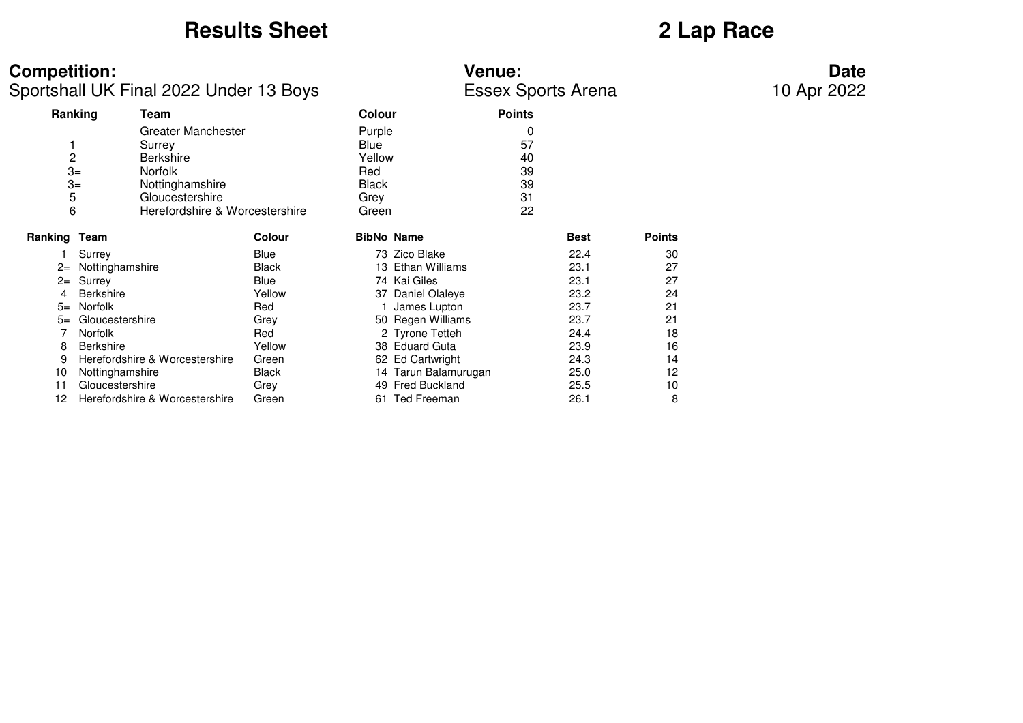# **Results Sheet 2 Lap Race**

| <b>Competition:</b> |                                        |        |              | <b>Venue:</b>        |               |                           |               | <b>Date</b> |
|---------------------|----------------------------------------|--------|--------------|----------------------|---------------|---------------------------|---------------|-------------|
|                     | Sportshall UK Final 2022 Under 13 Boys |        |              |                      |               | <b>Essex Sports Arena</b> |               | 10 Apr 2022 |
|                     | Ranking<br>Team                        |        | Colour       |                      | <b>Points</b> |                           |               |             |
|                     | Greater Manchester                     |        | Purple       |                      | 0             |                           |               |             |
|                     | Surrey                                 |        | Blue         |                      | 57            |                           |               |             |
| 2                   | <b>Berkshire</b>                       |        | Yellow       |                      | 40            |                           |               |             |
| $3=$                | Norfolk                                |        | Red          |                      | 39            |                           |               |             |
| $3=$                | Nottinghamshire                        |        | <b>Black</b> |                      | 39            |                           |               |             |
| 5                   | Gloucestershire                        |        | Grey         |                      | 31            |                           |               |             |
| 6                   | Herefordshire & Worcestershire         |        | Green        |                      | 22            |                           |               |             |
| Ranking Team        |                                        | Colour |              | <b>BibNo Name</b>    |               | <b>Best</b>               | <b>Points</b> |             |
|                     | Surrey                                 | Blue   |              | 73 Zico Blake        |               | 22.4                      | 30            |             |
| $2=$                | Nottinghamshire                        | Black  |              | 13 Ethan Williams    |               | 23.1                      | 27            |             |
| $2=$                | Surrey                                 | Blue   |              | 74 Kai Giles         |               | 23.1                      | 27            |             |
|                     | <b>Berkshire</b>                       | Yellow |              | 37 Daniel Olaleye    |               | 23.2                      | 24            |             |
| $5=$                | Norfolk                                | Red    |              | James Lupton         |               | 23.7                      | 21            |             |
| $5=$                | Gloucestershire                        | Grey   |              | 50 Regen Williams    |               | 23.7                      | 21            |             |
|                     | <b>Norfolk</b>                         | Red    |              | 2 Tyrone Tetteh      |               | 24.4                      | 18            |             |
| 8                   | <b>Berkshire</b>                       | Yellow |              | 38 Eduard Guta       |               | 23.9                      | 16            |             |
| 9                   | Herefordshire & Worcestershire         | Green  |              | 62 Ed Cartwright     |               | 24.3                      | 14            |             |
| 10                  | Nottinghamshire                        | Black  |              | 14 Tarun Balamurugan |               | 25.0                      | 12            |             |
| 11                  | Gloucestershire                        | Grey   |              | 49 Fred Buckland     |               | 25.5                      | 10            |             |
| 12                  | Herefordshire & Worcestershire         | Green  |              | 61 Ted Freeman       |               | 26.1                      | 8             |             |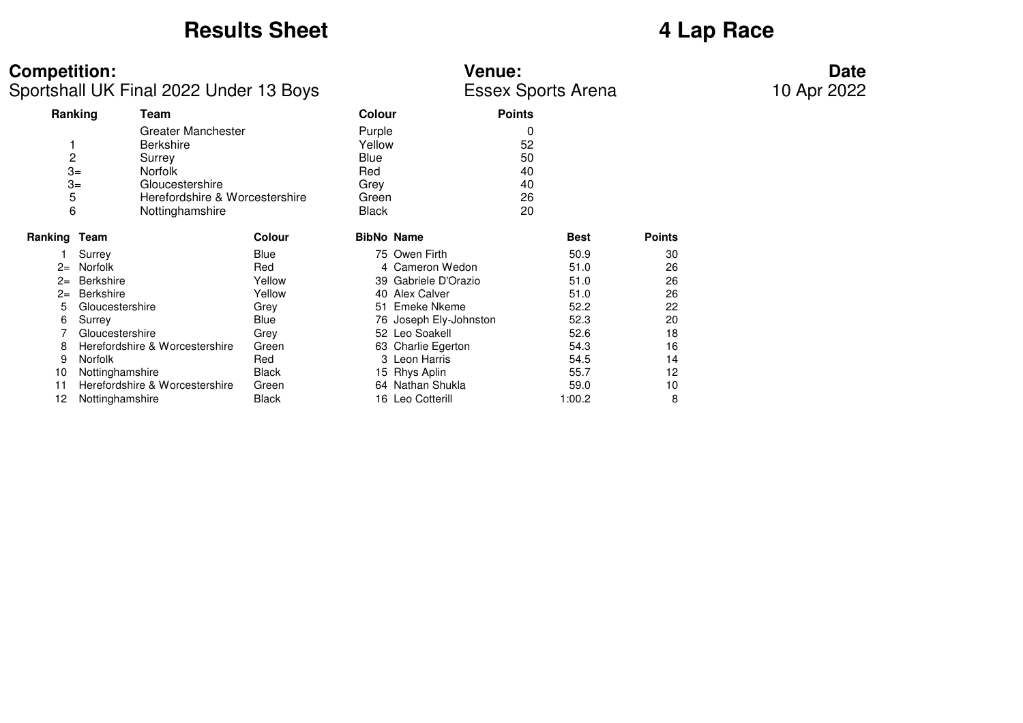# **Results Sheet 4 Lap Race**

| <b>Competition:</b>         |                                                                                                                                            |               |                                                                  | <b>Venue:</b>          |                                       |               | <b>Date</b> |
|-----------------------------|--------------------------------------------------------------------------------------------------------------------------------------------|---------------|------------------------------------------------------------------|------------------------|---------------------------------------|---------------|-------------|
|                             | Sportshall UK Final 2022 Under 13 Boys                                                                                                     |               |                                                                  |                        | <b>Essex Sports Arena</b>             |               | 10 Apr 2022 |
|                             | Ranking<br>Team                                                                                                                            |               | <b>Colour</b>                                                    |                        | <b>Points</b>                         |               |             |
| 2<br>$3=$<br>$3=$<br>5<br>6 | Greater Manchester<br><b>Berkshire</b><br>Surrey<br><b>Norfolk</b><br>Gloucestershire<br>Herefordshire & Worcestershire<br>Nottinghamshire |               | Purple<br>Yellow<br>Blue<br>Red<br>Grey<br>Green<br><b>Black</b> |                        | 0<br>52<br>50<br>40<br>40<br>26<br>20 |               |             |
| Ranking Team                |                                                                                                                                            | <b>Colour</b> | <b>BibNo Name</b>                                                |                        | <b>Best</b>                           | <b>Points</b> |             |
|                             | Surrey                                                                                                                                     | Blue          |                                                                  | 75 Owen Firth          | 50.9                                  | 30            |             |
| $2=$                        | Norfolk                                                                                                                                    | Red           |                                                                  | 4 Cameron Wedon        | 51.0                                  | 26            |             |
| $2=$                        | Berkshire                                                                                                                                  | Yellow        |                                                                  | 39 Gabriele D'Orazio   | 51.0                                  | 26            |             |
| $2=$                        | <b>Berkshire</b>                                                                                                                           | Yellow        |                                                                  | 40 Alex Calver         | 51.0                                  | 26            |             |
| 5                           | Gloucestershire                                                                                                                            | Grey          |                                                                  | 51 Emeke Nkeme         | 52.2                                  | 22            |             |
| 6                           | Surrey                                                                                                                                     | Blue          |                                                                  | 76 Joseph Ely-Johnston | 52.3                                  | 20            |             |
|                             | Gloucestershire                                                                                                                            | Grey          |                                                                  | 52 Leo Soakell         | 52.6                                  | 18            |             |
| 8                           | Herefordshire & Worcestershire                                                                                                             | Green         |                                                                  | 63 Charlie Egerton     | 54.3                                  | 16            |             |
| 9                           | Norfolk                                                                                                                                    | Red           |                                                                  | 3 Leon Harris          | 54.5                                  | 14            |             |
| 10                          | Nottinghamshire                                                                                                                            | Black         |                                                                  | 15 Rhys Aplin          | 55.7                                  | 12            |             |
| 11                          | Herefordshire & Worcestershire                                                                                                             | Green         |                                                                  | 64 Nathan Shukla       | 59.0                                  | 10            |             |
| 12                          | Nottinghamshire                                                                                                                            | Black         |                                                                  | 16 Leo Cotterill       | 1:00.2                                | 8             |             |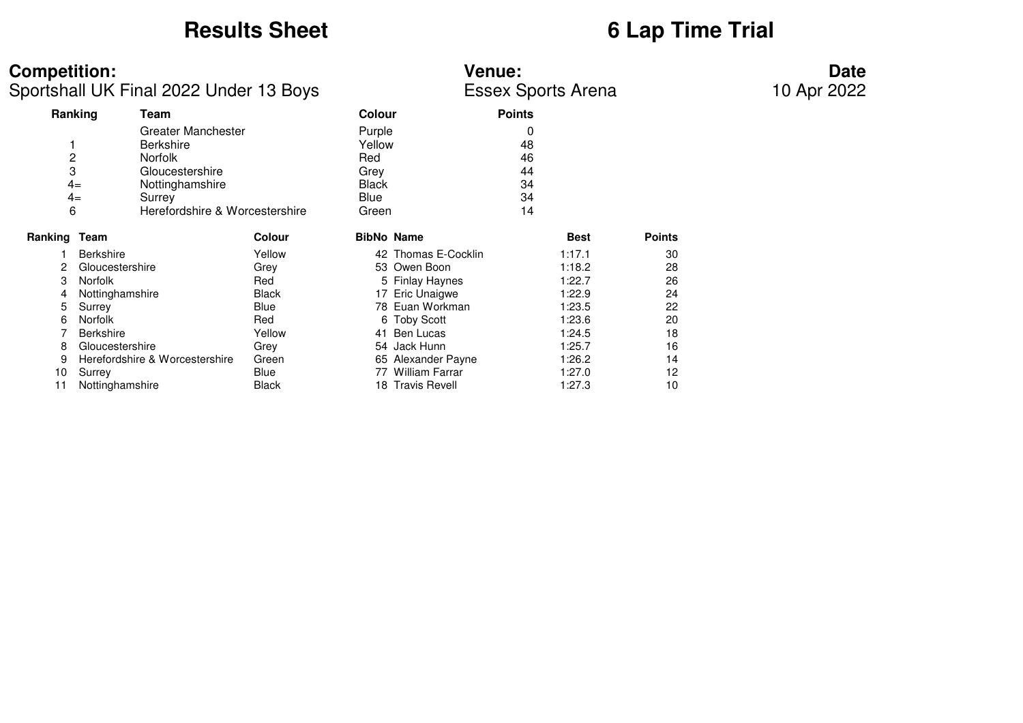## **Results Sheet 6 Lap Time Trial**

| <b>Competition:</b> | <b>Venue:</b> | Date |
|---------------------|---------------|------|
|                     |               |      |

Sportshall UK Final 2022 Under 13 Boys Essex Sports Arena

|                | Ranking<br>Team                |                                |              | <b>Colour</b>       | <b>Points</b> |             |               |
|----------------|--------------------------------|--------------------------------|--------------|---------------------|---------------|-------------|---------------|
|                | Greater Manchester             |                                | Purple       |                     | 0             |             |               |
|                | <b>Berkshire</b>               |                                | Yellow       |                     | 48            |             |               |
| $\overline{c}$ | <b>Norfolk</b>                 |                                | <b>Red</b>   |                     | 46            |             |               |
| 3              | Gloucestershire                |                                | Grev         |                     | 44            |             |               |
|                | $4=$<br>Nottinghamshire        |                                | <b>Black</b> |                     | 34            |             |               |
|                | $4=$<br>Surrey                 |                                | Blue         |                     | 34            |             |               |
| 6              |                                | Herefordshire & Worcestershire | Green        |                     | 14            |             |               |
| Ranking Team   |                                | <b>Colour</b>                  |              | <b>BibNo Name</b>   |               | <b>Best</b> | <b>Points</b> |
|                | <b>Berkshire</b>               | Yellow                         |              | 42 Thomas E-Cocklin |               | 1:17.1      | 30            |
| 2              | Gloucestershire                | Grey                           |              | 53 Owen Boon        |               | 1:18.2      | 28            |
| 3              | <b>Norfolk</b>                 | Red                            |              | 5 Finlay Haynes     |               | 1:22.7      | 26            |
|                | Nottinghamshire                | Black                          |              | 17 Eric Unaigwe     |               | 1:22.9      | 24            |
| 5              | Surrey                         | Blue                           |              | 78 Euan Workman     |               | 1:23.5      | 22            |
| 6              | <b>Norfolk</b>                 | Red                            |              | 6 Toby Scott        |               | 1:23.6      | 20            |
|                | <b>Berkshire</b>               | Yellow                         |              | 41 Ben Lucas        |               | 1:24.5      | 18            |
| 8              | Gloucestershire                | Grey                           |              | 54 Jack Hunn        |               | 1:25.7      | 16            |
| 9              | Herefordshire & Worcestershire | Green                          |              | 65 Alexander Payne  |               | 1:26.2      | 14            |
| 10             | Surrey                         | Blue                           |              | 77 William Farrar   |               | 1:27.0      | 12            |
| 11             | Nottinghamshire                | Black                          |              | 18 Travis Revell    |               | 1:27.3      | 10            |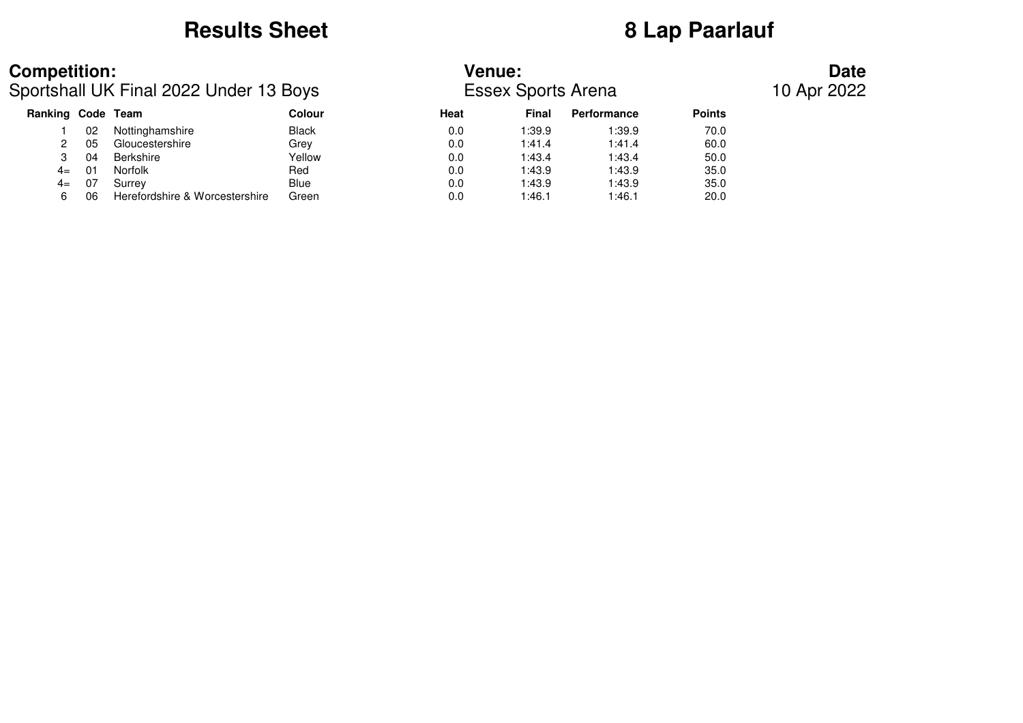### **Results Sheet 8 Lap Paarlauf**

### **Competition: Venue: Date**

Sportshall UK Final 2022 Under 13 Boys Essex Sports Arena 10 Apr 2022

| Ranking Code Team |    |                                | Colour       | Heat | Final  | <b>Performance</b> | <b>Points</b> |
|-------------------|----|--------------------------------|--------------|------|--------|--------------------|---------------|
|                   | 02 | Nottinghamshire                | <b>Black</b> | 0.0  | 1:39.9 | 1:39.9             | 70.0          |
|                   | 05 | Gloucestershire                | Grev         | 0.0  | 1:41.4 | 1:41.4             | 60.0          |
|                   | 04 | Berkshire                      | Yellow       | 0.0  | 1:43.4 | 1:43.4             | 50.0          |
| $4=$              | 01 | Norfolk                        | Red          | 0.0  | 1:43.9 | 1:43.9             | 35.0          |
| $4=$              | 07 | Surrey                         | <b>Blue</b>  | 0.0  | 1:43.9 | 1:43.9             | 35.0          |
|                   | 06 | Herefordshire & Worcestershire | Green        | 0.0  | 1:46.1 | 1:46.1             | 20.0          |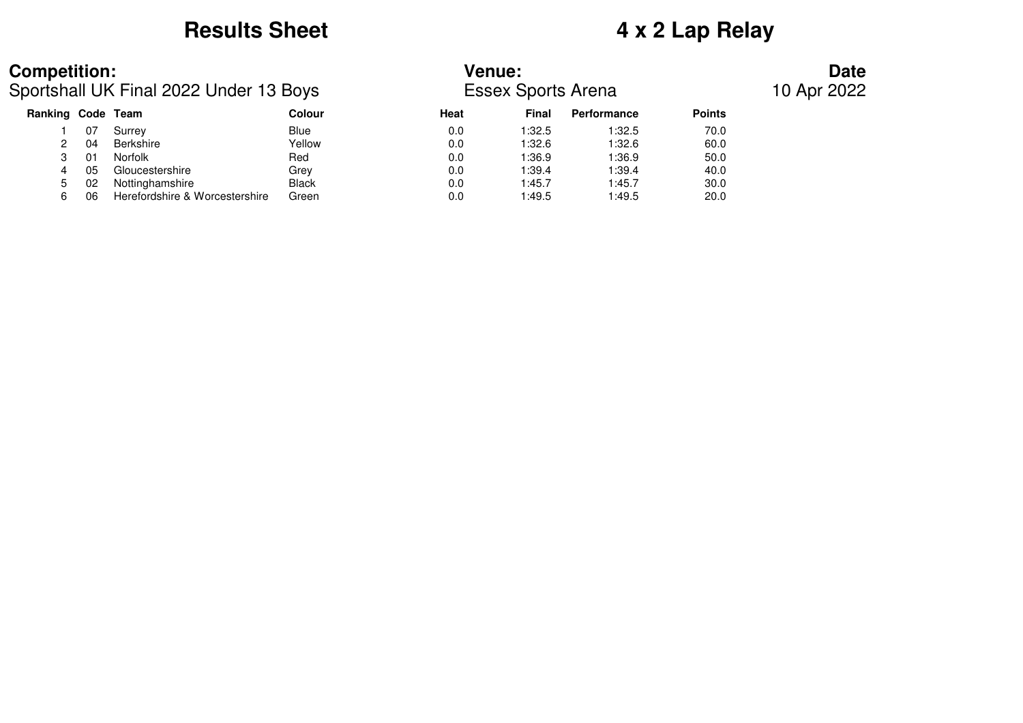# **Results Sheet 4 x 2 Lap Relay**

Sportshall UK Final 2022 Under 13 Boys Essex Sports Arena 10 Apr 2022

### **Competition: Venue: Date**

| Ranking Code Team |                |                                | Colour       | Heat | <b>Final</b> | Performance | <b>Points</b> |
|-------------------|----------------|--------------------------------|--------------|------|--------------|-------------|---------------|
|                   | 07             | Surrev                         | <b>Blue</b>  | 0.0  | 1:32.5       | 1:32.5      | 70.0          |
|                   | 04             | Berkshire                      | Yellow       | 0.0  | 1:32.6       | 1:32.6      | 60.0          |
|                   | 0 <sup>1</sup> | Norfolk                        | Red          | 0.0  | 1:36.9       | 1:36.9      | 50.0          |
| 4                 | 05             | Gloucestershire                | Grev         | 0.0  | 1:39.4       | 1:39.4      | 40.0          |
| $5^{\circ}$       | 02             | Nottinghamshire                | <b>Black</b> | 0.0  | 1:45.7       | 1:45.7      | 30.0          |
| 6.                | 06             | Herefordshire & Worcestershire | Green        | 0.0  | 1:49.5       | 1:49.5      | 20.0          |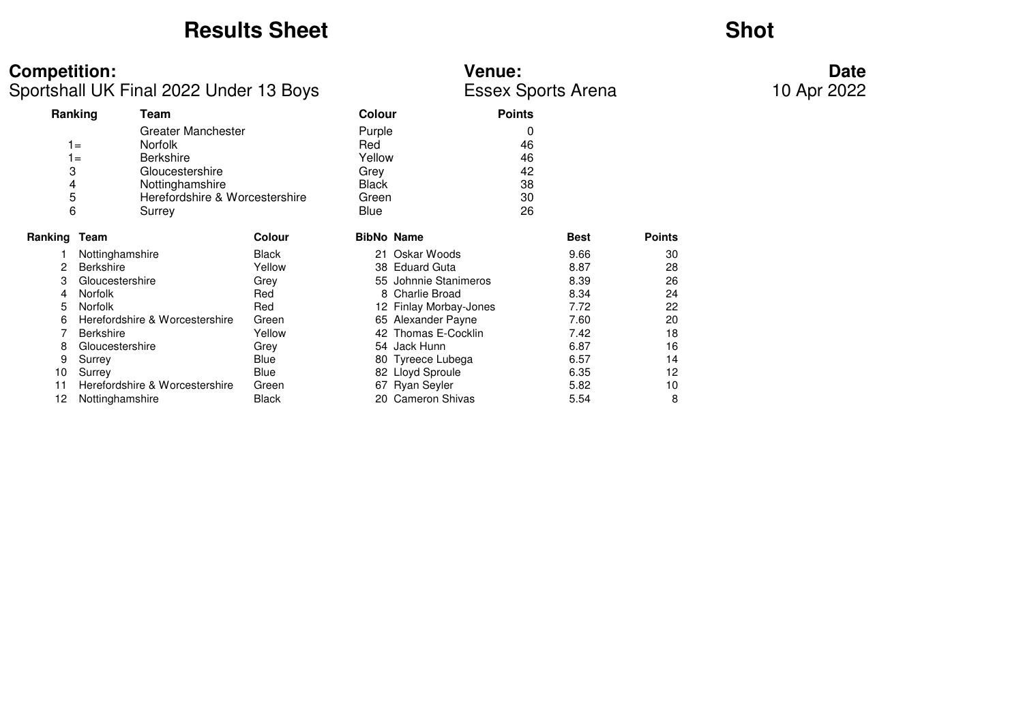### **Results Sheet**

## **Shot**

| <b>Competition:</b><br>Sportshall UK Final 2022 Under 13 Boys |                                |                                                                                                                                  |        | <b>Venue:</b><br><b>Essex Sports Arena</b>                |                        | Date<br>10 Apr 2022                   |             |               |  |
|---------------------------------------------------------------|--------------------------------|----------------------------------------------------------------------------------------------------------------------------------|--------|-----------------------------------------------------------|------------------------|---------------------------------------|-------------|---------------|--|
|                                                               | Ranking<br>Team                |                                                                                                                                  |        | <b>Colour</b>                                             |                        | <b>Points</b>                         |             |               |  |
| 3<br>5<br>6                                                   | $1 =$<br>$1 =$<br>4<br>Surrey  | Greater Manchester<br><b>Norfolk</b><br><b>Berkshire</b><br>Gloucestershire<br>Nottinghamshire<br>Herefordshire & Worcestershire |        | Purple<br>Red<br>Yellow<br>Grey<br>Black<br>Green<br>Blue |                        | 0<br>46<br>46<br>42<br>38<br>30<br>26 |             |               |  |
| <b>Ranking Team</b>                                           |                                |                                                                                                                                  | Colour |                                                           | <b>BibNo Name</b>      |                                       | <b>Best</b> | <b>Points</b> |  |
|                                                               | Nottinghamshire                |                                                                                                                                  | Black  |                                                           | 21 Oskar Woods         |                                       | 9.66        | 30            |  |
| 2                                                             | <b>Berkshire</b>               |                                                                                                                                  | Yellow |                                                           | 38 Eduard Guta         |                                       | 8.87        | 28            |  |
| 3                                                             | Gloucestershire                |                                                                                                                                  | Grey   |                                                           | 55 Johnnie Stanimeros  |                                       | 8.39        | 26            |  |
| 4                                                             | Norfolk                        |                                                                                                                                  | Red    |                                                           | 8 Charlie Broad        |                                       | 8.34        | 24            |  |
| 5                                                             | Norfolk                        |                                                                                                                                  | Red    |                                                           | 12 Finlay Morbay-Jones |                                       | 7.72        | 22            |  |
| 6                                                             | Herefordshire & Worcestershire |                                                                                                                                  | Green  |                                                           | 65 Alexander Payne     |                                       | 7.60        | 20            |  |
|                                                               | <b>Berkshire</b>               |                                                                                                                                  | Yellow |                                                           | 42 Thomas E-Cocklin    |                                       | 7.42        | 18            |  |
| 8                                                             | Gloucestershire                |                                                                                                                                  | Grey   |                                                           | 54 Jack Hunn           |                                       | 6.87        | 16            |  |
| 9                                                             | Surrey                         |                                                                                                                                  | Blue   |                                                           | 80 Tyreece Lubega      |                                       | 6.57        | 14            |  |
| 10                                                            | Surrey                         |                                                                                                                                  | Blue   |                                                           | 82 Lloyd Sproule       |                                       | 6.35        | 12            |  |
| 11                                                            | Herefordshire & Worcestershire |                                                                                                                                  | Green  |                                                           | 67 Ryan Seyler         |                                       | 5.82        | 10            |  |
| 12                                                            | Nottinghamshire                |                                                                                                                                  | Black  |                                                           | 20 Cameron Shivas      |                                       | 5.54        | 8             |  |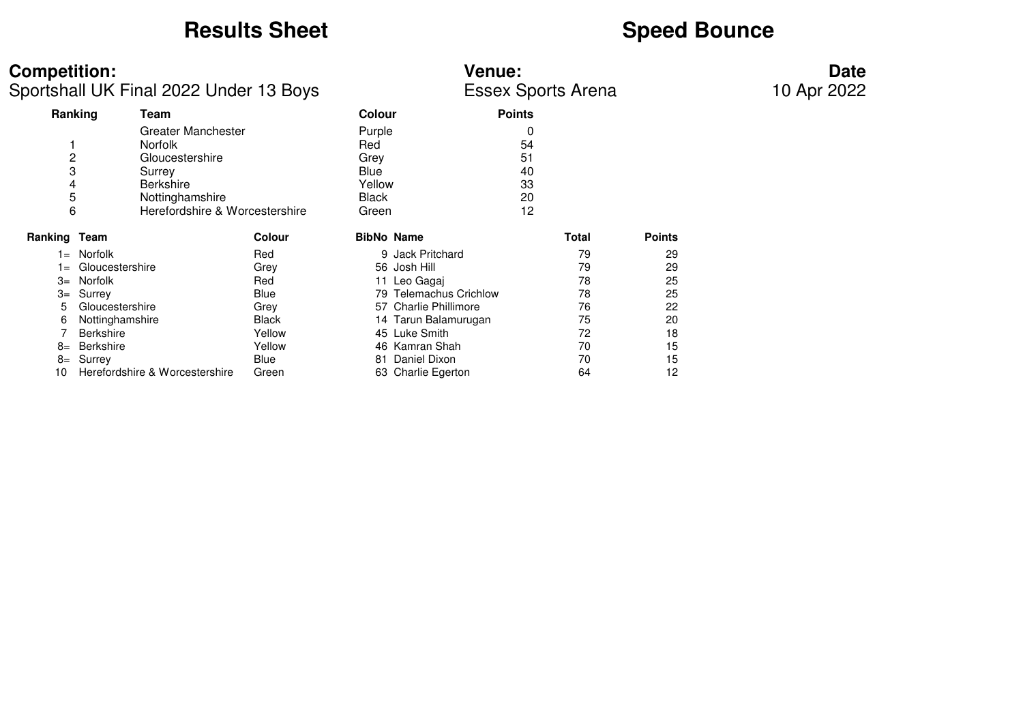# **Results Sheet**<br> **Speed Bounce**

| <b>Competition:</b><br>Sportshall UK Final 2022 Under 13 Boys |                                                                                                                                            |              |                                                                  | <b>Venue:</b><br><b>Essex Sports Arena</b> | <b>Date</b><br>10 Apr 2022 |               |  |
|---------------------------------------------------------------|--------------------------------------------------------------------------------------------------------------------------------------------|--------------|------------------------------------------------------------------|--------------------------------------------|----------------------------|---------------|--|
| Ranking                                                       | Team                                                                                                                                       |              | <b>Colour</b>                                                    | <b>Points</b>                              |                            |               |  |
| $\overline{c}$<br>3<br>4<br>5<br>6                            | Greater Manchester<br><b>Norfolk</b><br>Gloucestershire<br>Surrey<br><b>Berkshire</b><br>Nottinghamshire<br>Herefordshire & Worcestershire |              | Purple<br>Red<br>Grey<br>Blue<br>Yellow<br><b>Black</b><br>Green | 54<br>51<br>40<br>33<br>20<br>12           |                            |               |  |
| Ranking Team                                                  |                                                                                                                                            | Colour       | <b>BibNo Name</b>                                                |                                            | Total                      | <b>Points</b> |  |
|                                                               | 1= Norfolk                                                                                                                                 | Red          |                                                                  | 9 Jack Pritchard                           | 79                         | 29            |  |
| $1 =$                                                         | Gloucestershire                                                                                                                            | Grey         |                                                                  | 56 Josh Hill                               | 79                         | 29            |  |
| $3=$                                                          | Norfolk                                                                                                                                    | Red          |                                                                  | 11 Leo Gagaj                               | 78                         | 25            |  |
| $3=$                                                          | Surrey                                                                                                                                     | Blue         |                                                                  | 79 Telemachus Crichlow                     | 78                         | 25            |  |
| 5.                                                            | Gloucestershire                                                                                                                            | Grey         |                                                                  | 57 Charlie Phillimore                      | 76                         | 22            |  |
| 6                                                             | Nottinghamshire                                                                                                                            | <b>Black</b> |                                                                  | 14 Tarun Balamurugan                       | 75                         | 20            |  |
|                                                               | <b>Berkshire</b>                                                                                                                           | Yellow       |                                                                  | 45 Luke Smith                              | 72                         | 18            |  |
| $8=$                                                          | Berkshire                                                                                                                                  | Yellow       |                                                                  | 46 Kamran Shah                             | 70                         | 15            |  |
| 8=                                                            | Surrey                                                                                                                                     | Blue         | 81                                                               | Daniel Dixon                               | 70                         | 15            |  |
| 10                                                            | Herefordshire & Worcestershire                                                                                                             | Green        |                                                                  | 63 Charlie Egerton                         | 64                         | 12            |  |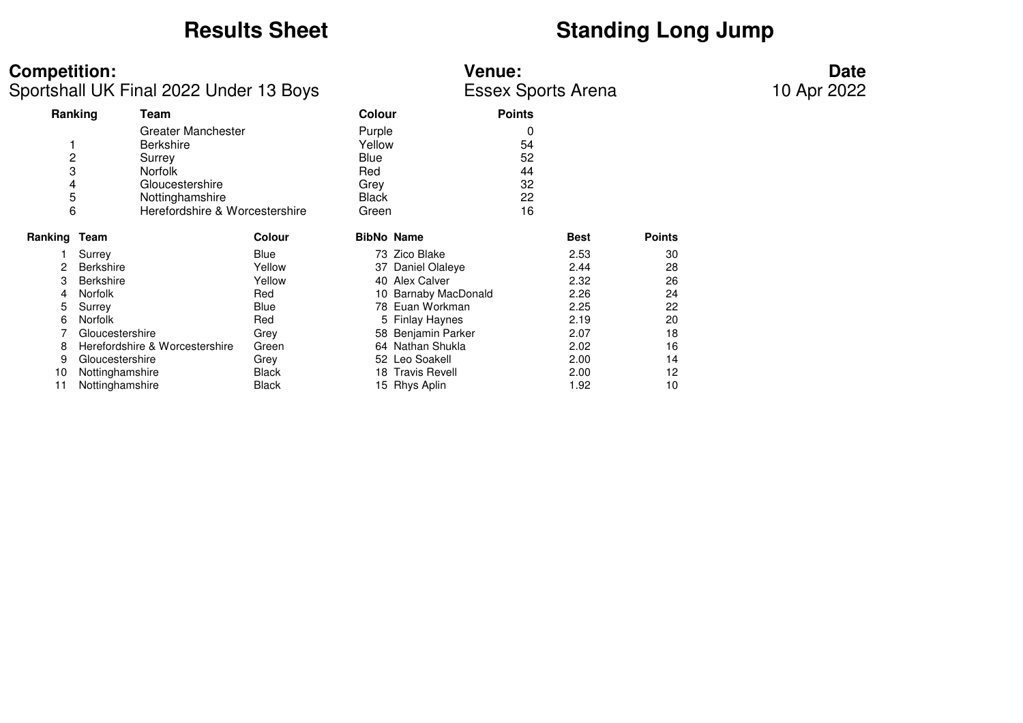# **Results Sheet**<br> **Standing Long Jump**

| <b>Competition:</b><br>Sportshall UK Final 2022 Under 13 Boys |                                                                                                                                                   |        |                                                                  | <b>Venue:</b><br><b>Essex Sports Arena</b> | <b>Date</b><br>10 Apr 2022            |             |               |  |
|---------------------------------------------------------------|---------------------------------------------------------------------------------------------------------------------------------------------------|--------|------------------------------------------------------------------|--------------------------------------------|---------------------------------------|-------------|---------------|--|
|                                                               | Ranking<br>Team                                                                                                                                   |        | Colour                                                           |                                            | <b>Points</b>                         |             |               |  |
| $\overline{c}$<br>3<br>4<br>5<br>6                            | <b>Greater Manchester</b><br><b>Berkshire</b><br>Surrey<br><b>Norfolk</b><br>Gloucestershire<br>Nottinghamshire<br>Herefordshire & Worcestershire |        | Purple<br>Yellow<br>Blue<br>Red<br>Grey<br><b>Black</b><br>Green |                                            | 0<br>54<br>52<br>44<br>32<br>22<br>16 |             |               |  |
| Ranking Team                                                  |                                                                                                                                                   | Colour |                                                                  | <b>BibNo Name</b>                          |                                       | <b>Best</b> | <b>Points</b> |  |
|                                                               | Surrey                                                                                                                                            | Blue   |                                                                  | 73 Zico Blake                              |                                       | 2.53        | 30            |  |
| 2                                                             | <b>Berkshire</b>                                                                                                                                  | Yellow |                                                                  | 37 Daniel Olaleye                          |                                       | 2.44        | 28            |  |
| 3                                                             | <b>Berkshire</b>                                                                                                                                  | Yellow |                                                                  | 40 Alex Calver                             |                                       | 2.32        | 26            |  |
| 4                                                             | <b>Norfolk</b>                                                                                                                                    | Red    |                                                                  | 10 Barnaby MacDonald                       |                                       | 2.26        | 24            |  |
| 5                                                             | Surrey                                                                                                                                            | Blue   |                                                                  | 78 Euan Workman                            |                                       | 2.25        | 22            |  |
| 6                                                             | <b>Norfolk</b>                                                                                                                                    | Red    |                                                                  | 5 Finlay Haynes                            |                                       | 2.19        | 20            |  |
|                                                               | Gloucestershire                                                                                                                                   | Grey   |                                                                  | 58 Benjamin Parker                         |                                       | 2.07        | 18            |  |
| 8                                                             | Herefordshire & Worcestershire                                                                                                                    | Green  |                                                                  | 64 Nathan Shukla                           |                                       | 2.02        | 16            |  |
| 9                                                             | Gloucestershire                                                                                                                                   | Grey   |                                                                  | 52 Leo Soakell                             |                                       | 2.00        | 14            |  |
| 10                                                            | Nottinghamshire                                                                                                                                   | Black  |                                                                  | 18 Travis Revell                           |                                       | 2.00        | 12            |  |
| 11                                                            | Nottinghamshire                                                                                                                                   | Black  |                                                                  | 15 Rhys Aplin                              |                                       | 1.92        | 10            |  |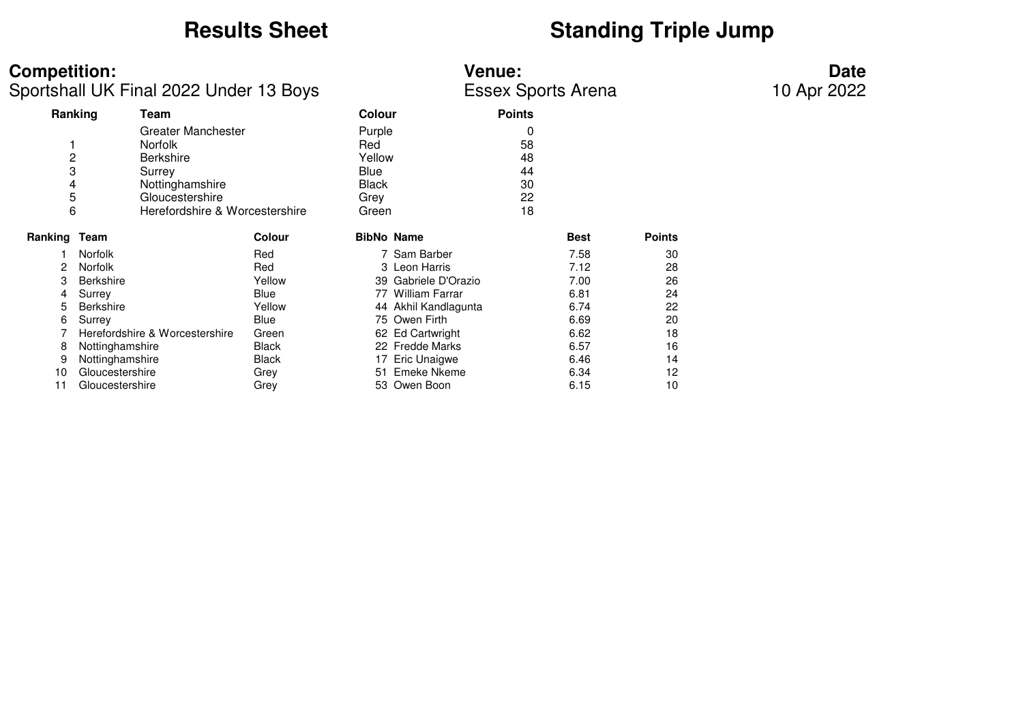# **Results Sheet**<br> **Standing Triple Jump**

| <b>Competition:</b><br>Sportshall UK Final 2022 Under 13 Boys |                                                                                                                                                                            |              |                                                                  | <b>Venue:</b><br><b>Essex Sports Arena</b> | <b>Date</b><br>10 Apr 2022            |             |               |  |
|---------------------------------------------------------------|----------------------------------------------------------------------------------------------------------------------------------------------------------------------------|--------------|------------------------------------------------------------------|--------------------------------------------|---------------------------------------|-------------|---------------|--|
|                                                               | Ranking<br>Team                                                                                                                                                            |              | Colour                                                           |                                            | <b>Points</b>                         |             |               |  |
|                                                               | <b>Greater Manchester</b><br><b>Norfolk</b><br>2<br><b>Berkshire</b><br>3<br>Surrey<br>Nottinghamshire<br>4<br>5<br>Gloucestershire<br>6<br>Herefordshire & Worcestershire |              | Purple<br>Red<br>Yellow<br>Blue<br><b>Black</b><br>Grey<br>Green |                                            | 0<br>58<br>48<br>44<br>30<br>22<br>18 |             |               |  |
| Ranking Team                                                  |                                                                                                                                                                            | Colour       |                                                                  | <b>BibNo Name</b>                          |                                       | <b>Best</b> | <b>Points</b> |  |
|                                                               | Norfolk                                                                                                                                                                    | Red          |                                                                  | 7 Sam Barber                               |                                       | 7.58        | 30            |  |
| 2                                                             | <b>Norfolk</b>                                                                                                                                                             | Red          |                                                                  | 3 Leon Harris                              |                                       | 7.12        | 28            |  |
| 3                                                             | <b>Berkshire</b>                                                                                                                                                           | Yellow       |                                                                  | 39 Gabriele D'Orazio                       |                                       | 7.00        | 26            |  |
| 4                                                             | Surrey                                                                                                                                                                     | Blue         |                                                                  | 77 William Farrar                          |                                       | 6.81        | 24            |  |
| 5                                                             | <b>Berkshire</b>                                                                                                                                                           | Yellow       |                                                                  | 44 Akhil Kandlagunta                       |                                       | 6.74        | 22            |  |
| 6                                                             | Surrey                                                                                                                                                                     | Blue         |                                                                  | 75 Owen Firth                              |                                       | 6.69        | 20            |  |
|                                                               | Herefordshire & Worcestershire                                                                                                                                             | Green        |                                                                  | 62 Ed Cartwright                           |                                       | 6.62        | 18            |  |
| 8                                                             | Nottinghamshire                                                                                                                                                            | <b>Black</b> |                                                                  | 22 Fredde Marks                            |                                       | 6.57        | 16            |  |
|                                                               | Nottinghamshire                                                                                                                                                            | Black        |                                                                  | 17 Eric Unaigwe                            |                                       | 6.46        | 14            |  |
| 10                                                            | Gloucestershire                                                                                                                                                            | Grey         |                                                                  | 51 Emeke Nkeme                             |                                       | 6.34        | 12            |  |
| 11                                                            | Gloucestershire                                                                                                                                                            | Grey         |                                                                  | 53 Owen Boon                               |                                       | 6.15        | 10            |  |